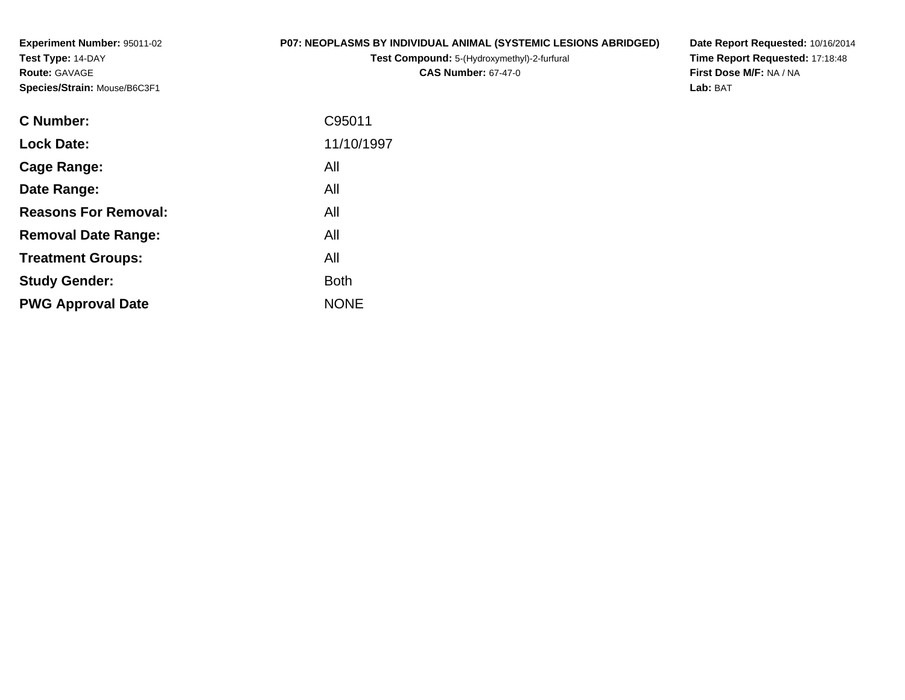**Experiment Number:** 95011-02**Test Type:** 14-DAY**Route:** GAVAGE**Species/Strain:** Mouse/B6C3F1

#### **P07: NEOPLASMS BY INDIVIDUAL ANIMAL (SYSTEMIC LESIONS ABRIDGED)**

**Test Compound:** 5-(Hydroxymethyl)-2-furfural **CAS Number:** 67-47-0

**Date Report Requested:** 10/16/2014 **Time Report Requested:** 17:18:48**First Dose M/F:** NA / NA**Lab:** BAT

| <b>C</b> Number:            | C95011      |
|-----------------------------|-------------|
| <b>Lock Date:</b>           | 11/10/1997  |
| Cage Range:                 | All         |
| Date Range:                 | All         |
| <b>Reasons For Removal:</b> | All         |
| <b>Removal Date Range:</b>  | All         |
| <b>Treatment Groups:</b>    | All         |
| <b>Study Gender:</b>        | <b>Both</b> |
| <b>PWG Approval Date</b>    | <b>NONE</b> |
|                             |             |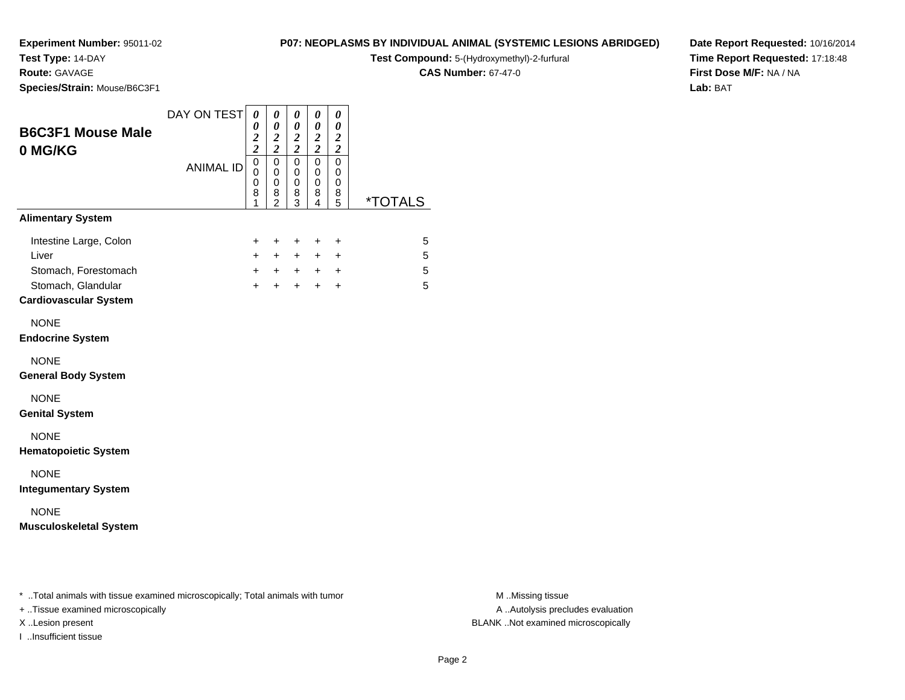### **Test Type:** 14-DAY

**Route:** GAVAGE

**Species/Strain:** Mouse/B6C3F1

### **P07: NEOPLASMS BY INDIVIDUAL ANIMAL (SYSTEMIC LESIONS ABRIDGED)**

**Test Compound:** 5-(Hydroxymethyl)-2-furfural

**CAS Number:** 67-47-0

**Date Report Requested:** 10/16/2014**Time Report Requested:** 17:18:48**First Dose M/F:** NA / NA**Lab:** BAT

| <b>B6C3F1 Mouse Male</b><br>0 MG/KG          | DAY ON TEST<br><b>ANIMAL ID</b> | 0<br>0<br>$\boldsymbol{2}$<br>$\overline{c}$<br>0 | 0<br>0<br>$\frac{2}{2}$<br>$\mathbf 0$  | $\boldsymbol{\theta}$<br>0<br>$\frac{2}{2}$<br>0 | 0<br>0<br>$\frac{2}{2}$<br>$\mathbf 0$ | 0<br>0<br>$\frac{2}{2}$<br>$\mathbf 0$ |                       |
|----------------------------------------------|---------------------------------|---------------------------------------------------|-----------------------------------------|--------------------------------------------------|----------------------------------------|----------------------------------------|-----------------------|
|                                              |                                 | 0<br>0<br>8<br>1                                  | $\mathbf 0$<br>0<br>8<br>$\overline{2}$ | 0<br>0<br>8<br>$\overline{3}$                    | 0<br>0<br>8<br>4                       | 0<br>0<br>8<br>5                       | <i><b>*TOTALS</b></i> |
| <b>Alimentary System</b>                     |                                 |                                                   |                                         |                                                  |                                        |                                        |                       |
| Intestine Large, Colon                       |                                 | $\ddot{}$                                         | $\ddot{}$                               | +                                                | +                                      | $\ddot{}$                              | 5                     |
| Liver<br>Stomach, Forestomach                |                                 | $+$<br>$+$                                        | $+$                                     | $+$<br>$+$ $+$                                   | $+$<br>$+$ $+$                         | $\ddot{}$                              | 5<br>5                |
| Stomach, Glandular                           |                                 | $+$                                               | $+$                                     | $+$                                              | $+$                                    | $\ddot{}$                              | 5                     |
| <b>Cardiovascular System</b>                 |                                 |                                                   |                                         |                                                  |                                        |                                        |                       |
| <b>NONE</b>                                  |                                 |                                                   |                                         |                                                  |                                        |                                        |                       |
| <b>Endocrine System</b>                      |                                 |                                                   |                                         |                                                  |                                        |                                        |                       |
| <b>NONE</b><br><b>General Body System</b>    |                                 |                                                   |                                         |                                                  |                                        |                                        |                       |
| <b>NONE</b><br><b>Genital System</b>         |                                 |                                                   |                                         |                                                  |                                        |                                        |                       |
| <b>NONE</b><br><b>Hematopoietic System</b>   |                                 |                                                   |                                         |                                                  |                                        |                                        |                       |
| <b>NONE</b><br><b>Integumentary System</b>   |                                 |                                                   |                                         |                                                  |                                        |                                        |                       |
| <b>NONE</b><br><b>Musculoskeletal System</b> |                                 |                                                   |                                         |                                                  |                                        |                                        |                       |
|                                              |                                 |                                                   |                                         |                                                  |                                        |                                        |                       |

\* ..Total animals with tissue examined microscopically; Total animals with tumor **M** . Missing tissue M ..Missing tissue

+ ..Tissue examined microscopically

I ..Insufficient tissue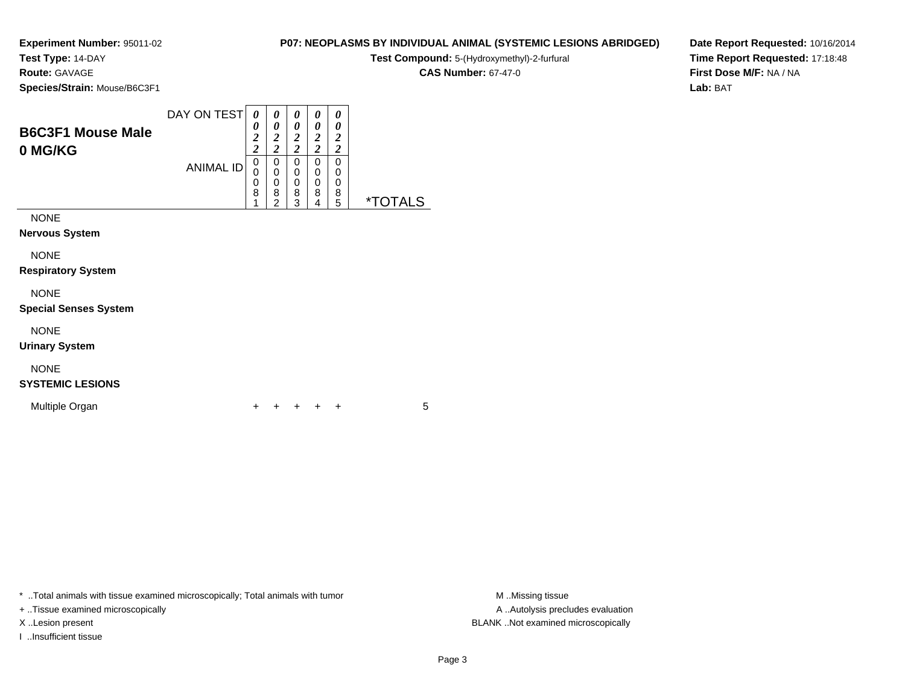**Test Type:** 14-DAY

**Route:** GAVAGE

**Species/Strain:** Mouse/B6C3F1

**Test Compound:** 5-(Hydroxymethyl)-2-furfural

**CAS Number:** 67-47-0

**Date Report Requested:** 10/16/2014**Time Report Requested:** 17:18:48**First Dose M/F:** NA / NA**Lab:** BAT

| <b>B6C3F1 Mouse Male</b><br>0 MG/KG                 | DAY ON TEST<br><b>ANIMAL ID</b> | 0<br>0<br>2<br>C<br>0<br>0<br>0<br>8 | 0<br>0<br>$\overline{2}$<br>2<br>0<br>0<br>0<br>8<br>2 | 0<br>0<br>$\overline{2}$<br>2<br>0<br>$\mathbf 0$<br>0<br>8<br>3 | 0<br>0<br>2<br>າ<br>∠<br>0<br>0<br>0<br>8<br>4 | 0<br>0<br>2<br>2<br>0<br>0<br>0<br>8<br>5 | <i><b>*TOTALS</b></i> |
|-----------------------------------------------------|---------------------------------|--------------------------------------|--------------------------------------------------------|------------------------------------------------------------------|------------------------------------------------|-------------------------------------------|-----------------------|
| <b>NONE</b><br><b>Nervous System</b><br><b>NONE</b> |                                 |                                      |                                                        |                                                                  |                                                |                                           |                       |

**Respiratory System**

#### NONE

**Special Senses System**

NONE

**Urinary System**

### NONE

### **SYSTEMIC LESIONS**

Multiple Organn  $+$ 

<sup>+</sup> <sup>+</sup> <sup>+</sup> <sup>+</sup> <sup>5</sup>

\* ..Total animals with tissue examined microscopically; Total animals with tumor **M** . Missing tissue M ..Missing tissue

+ ..Tissue examined microscopically

I ..Insufficient tissue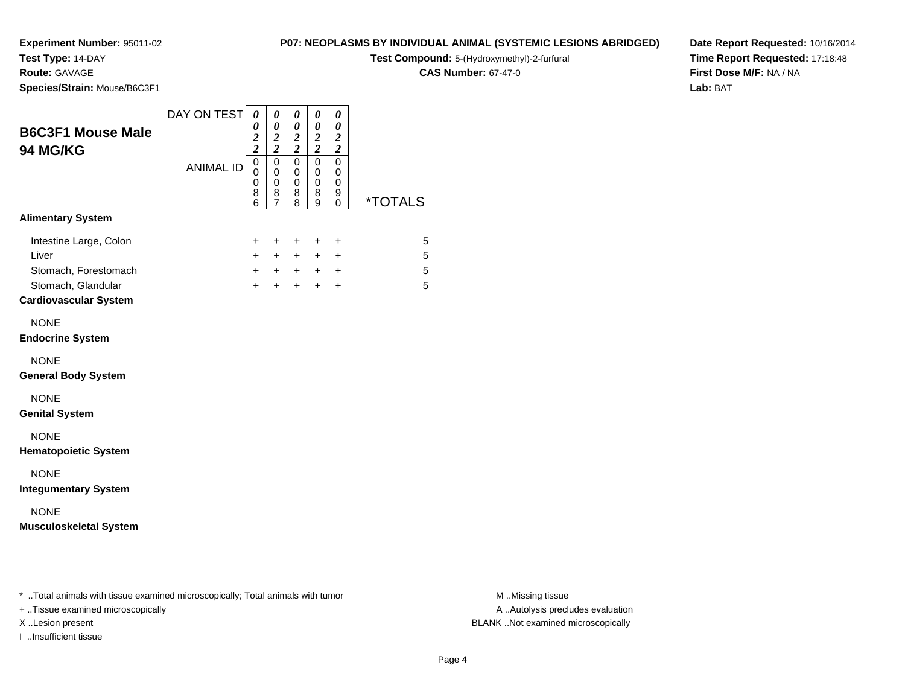**Test Type:** 14-DAY

### **Route:** GAVAGE

**Species/Strain:** Mouse/B6C3F1

### **P07: NEOPLASMS BY INDIVIDUAL ANIMAL (SYSTEMIC LESIONS ABRIDGED)**

**Test Compound:** 5-(Hydroxymethyl)-2-furfural

**CAS Number:** 67-47-0

**Date Report Requested:** 10/16/2014**Time Report Requested:** 17:18:48**First Dose M/F:** NA / NA**Lab:** BAT

| <b>B6C3F1 Mouse Male</b><br>94 MG/KG                                          | DAY ON TEST      | $\theta$<br>0<br>$\overline{\mathbf{c}}$<br>$\overline{\mathbf{c}}$ | 0<br>$\boldsymbol{\theta}$<br>$\boldsymbol{2}$<br>$\boldsymbol{2}$ | 0<br>$\boldsymbol{\theta}$<br>$\boldsymbol{2}$<br>$\boldsymbol{2}$ | 0<br>0<br>$\boldsymbol{2}$<br>$\boldsymbol{2}$ | $\boldsymbol{\theta}$<br>$\boldsymbol{\theta}$<br>$\boldsymbol{2}$<br>$\boldsymbol{2}$ |                       |
|-------------------------------------------------------------------------------|------------------|---------------------------------------------------------------------|--------------------------------------------------------------------|--------------------------------------------------------------------|------------------------------------------------|----------------------------------------------------------------------------------------|-----------------------|
|                                                                               | <b>ANIMAL ID</b> | $\mathbf 0$<br>0<br>0<br>8<br>$\overline{6}$                        | $\mathsf 0$<br>0<br>0<br>8<br>$\overline{7}$                       | $\mathbf 0$<br>$\mathbf 0$<br>0<br>8<br>8                          | $\mathbf 0$<br>0<br>0<br>8<br>9                | $\pmb{0}$<br>0<br>0<br>9<br>0                                                          | <i><b>*TOTALS</b></i> |
| <b>Alimentary System</b>                                                      |                  |                                                                     |                                                                    |                                                                    |                                                |                                                                                        |                       |
| Intestine Large, Colon<br>Liver<br>Stomach, Forestomach<br>Stomach, Glandular |                  | +<br>$+$<br>$+$<br>$+$                                              | +<br>$+$<br>$+$<br>$+$                                             | +<br>$+$<br>$+$<br>$+$                                             | +<br>$+$<br>$+$                                | $\ddot{}$<br>$\ddot{}$<br>$+$ $+$<br>$\ddot{}$                                         | 5<br>5<br>5<br>5      |
| <b>Cardiovascular System</b>                                                  |                  |                                                                     |                                                                    |                                                                    |                                                |                                                                                        |                       |
| <b>NONE</b><br><b>Endocrine System</b>                                        |                  |                                                                     |                                                                    |                                                                    |                                                |                                                                                        |                       |
| <b>NONE</b><br><b>General Body System</b>                                     |                  |                                                                     |                                                                    |                                                                    |                                                |                                                                                        |                       |
| <b>NONE</b><br><b>Genital System</b>                                          |                  |                                                                     |                                                                    |                                                                    |                                                |                                                                                        |                       |
| <b>NONE</b><br><b>Hematopoietic System</b>                                    |                  |                                                                     |                                                                    |                                                                    |                                                |                                                                                        |                       |
| <b>NONE</b><br><b>Integumentary System</b>                                    |                  |                                                                     |                                                                    |                                                                    |                                                |                                                                                        |                       |
| <b>NONE</b><br><b>Musculoskeletal System</b>                                  |                  |                                                                     |                                                                    |                                                                    |                                                |                                                                                        |                       |
|                                                                               |                  |                                                                     |                                                                    |                                                                    |                                                |                                                                                        |                       |
|                                                                               |                  |                                                                     |                                                                    |                                                                    |                                                |                                                                                        |                       |

\* ..Total animals with tissue examined microscopically; Total animals with tumor **M** . Missing tissue M ..Missing tissue

+ ..Tissue examined microscopically

I ..Insufficient tissue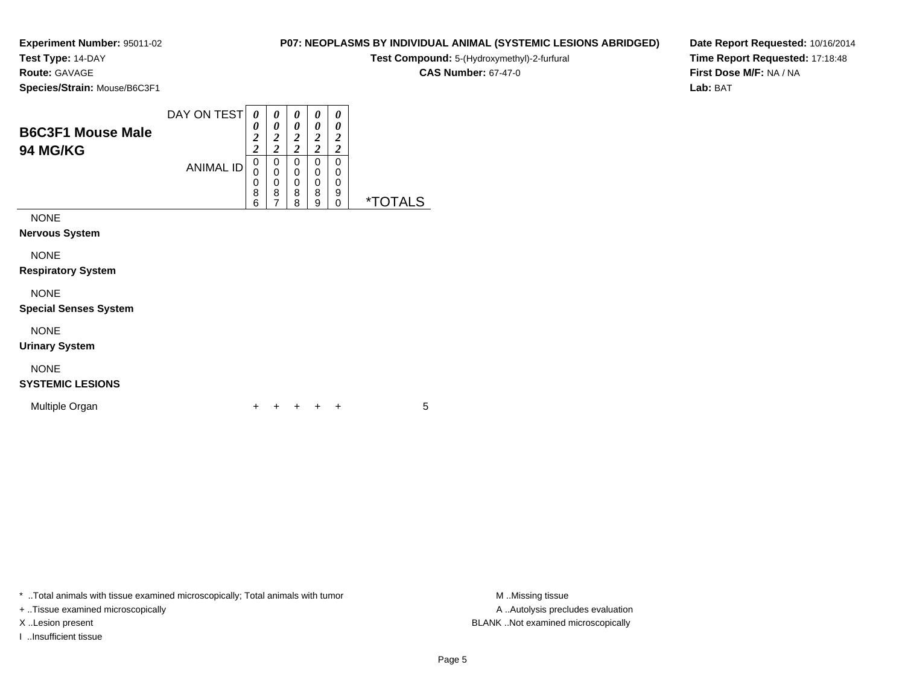**Test Type:** 14-DAY

**Route:** GAVAGE

**Species/Strain:** Mouse/B6C3F1

| Test Compound: 5-(Hydroxymethyl)-2-furfural |
|---------------------------------------------|
| <b>CAS Number: 67-47-0</b>                  |

**P07: NEOPLASMS BY INDIVIDUAL ANIMAL (SYSTEMIC LESIONS ABRIDGED)**

**Date Report Requested:** 10/16/2014**Time Report Requested:** 17:18:48**First Dose M/F:** NA / NA**Lab:** BAT

| <b>B6C3F1 Mouse Male</b><br><b>94 MG/KG</b> | DAY ON TEST      | 0<br>0<br>$\overline{2}$<br>$\overline{2}$ | 0<br>0<br>2<br>$\overline{\mathbf{c}}$ | 0<br>0<br>2<br>2      | $\boldsymbol{\theta}$<br>0<br>2<br>ኅ | 0<br>0<br>2<br>2      |                       |
|---------------------------------------------|------------------|--------------------------------------------|----------------------------------------|-----------------------|--------------------------------------|-----------------------|-----------------------|
|                                             | <b>ANIMAL ID</b> | 0<br>0<br>0<br>8<br>6                      | 0<br>0<br>0<br>8<br>7                  | 0<br>0<br>0<br>8<br>8 | 0<br>0<br>0<br>8<br>9                | 0<br>0<br>0<br>9<br>0 | <i><b>*TOTALS</b></i> |
| <b>NONE</b><br><b>Nervous System</b>        |                  |                                            |                                        |                       |                                      |                       |                       |
| <b>NONE</b>                                 |                  |                                            |                                        |                       |                                      |                       |                       |

**Respiratory System**

NONE

**Special Senses System**

NONE

**Urinary System**

### NONE

### **SYSTEMIC LESIONS**

Multiple Organn  $+$ 

<sup>+</sup> <sup>+</sup> <sup>+</sup> <sup>+</sup> <sup>5</sup>

\* ..Total animals with tissue examined microscopically; Total animals with tumor

+ ..Tissue examined microscopically

I ..Insufficient tissue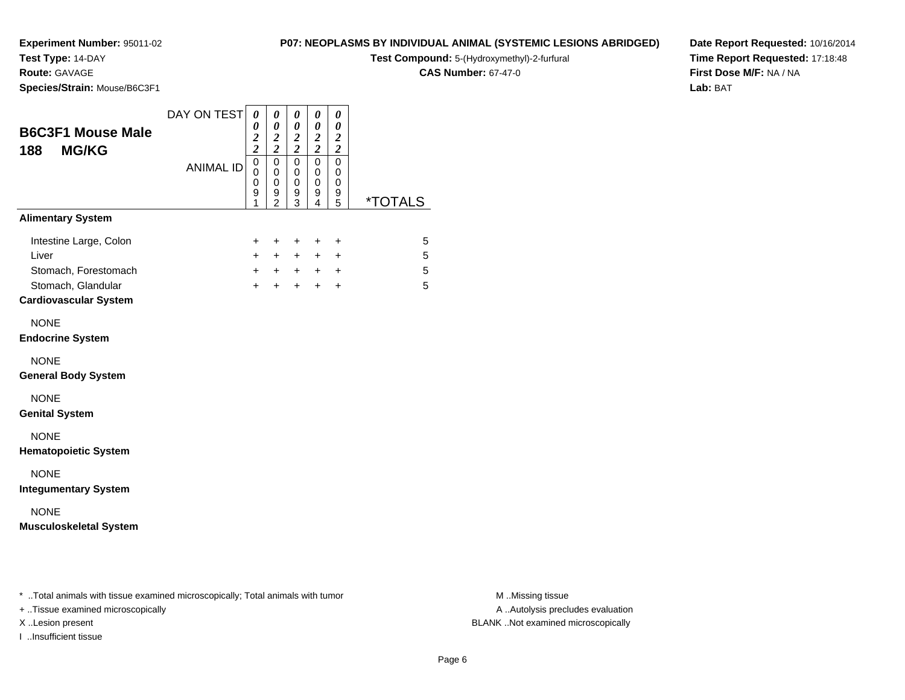## **Test Type:** 14-DAY

**Route:** GAVAGE

**Species/Strain:** Mouse/B6C3F1

#### **P07: NEOPLASMS BY INDIVIDUAL ANIMAL (SYSTEMIC LESIONS ABRIDGED)**

**Test Compound:** 5-(Hydroxymethyl)-2-furfural

**CAS Number:** 67-47-0

**Date Report Requested:** 10/16/2014**Time Report Requested:** 17:18:48**First Dose M/F:** NA / NA**Lab:** BAT

| <b>B6C3F1 Mouse Male</b><br>188<br><b>MG/KG</b>                                                               | DAY ON TEST      | $\boldsymbol{\theta}$<br>0<br>$\frac{2}{2}$                 | $\pmb{\theta}$<br>0<br>$\boldsymbol{2}$<br>$\overline{\mathbf{c}}$ | $\pmb{\theta}$<br>0<br>$\frac{2}{2}$ | 0<br>0<br>$\frac{2}{2}$            | $\boldsymbol{\theta}$<br>0<br>$\frac{2}{2}$      |                       |
|---------------------------------------------------------------------------------------------------------------|------------------|-------------------------------------------------------------|--------------------------------------------------------------------|--------------------------------------|------------------------------------|--------------------------------------------------|-----------------------|
|                                                                                                               | <b>ANIMAL ID</b> | $\overline{0}$<br>$\mathbf 0$<br>$\boldsymbol{0}$<br>9<br>1 | $\overline{0}$<br>0<br>0<br>9<br>$\overline{2}$                    | $\mathbf 0$<br>0<br>0<br>9<br>3      | $\overline{0}$<br>0<br>0<br>9<br>4 | $\overline{0}$<br>0<br>0<br>9<br>5               | <i><b>*TOTALS</b></i> |
| <b>Alimentary System</b>                                                                                      |                  |                                                             |                                                                    |                                      |                                    |                                                  |                       |
| Intestine Large, Colon<br>Liver<br>Stomach, Forestomach<br>Stomach, Glandular<br><b>Cardiovascular System</b> |                  | $+$<br>$+$<br>$+$                                           | $+$<br>$+$<br>$+$ $+$<br>$\ddot{}$                                 | $\ddot{}$<br>$+$<br>$+$              | $\ddot{}$<br>$+$<br>$+$ $+$<br>$+$ | $\ddot{}$<br>$\ddot{}$<br>$\ddot{}$<br>$\ddot{}$ | 5<br>5<br>5<br>5      |
| <b>NONE</b><br><b>Endocrine System</b>                                                                        |                  |                                                             |                                                                    |                                      |                                    |                                                  |                       |
| <b>NONE</b><br><b>General Body System</b>                                                                     |                  |                                                             |                                                                    |                                      |                                    |                                                  |                       |
| <b>NONE</b><br><b>Genital System</b>                                                                          |                  |                                                             |                                                                    |                                      |                                    |                                                  |                       |
| <b>NONE</b><br><b>Hematopoietic System</b>                                                                    |                  |                                                             |                                                                    |                                      |                                    |                                                  |                       |
| <b>NONE</b><br><b>Integumentary System</b>                                                                    |                  |                                                             |                                                                    |                                      |                                    |                                                  |                       |
| <b>NONE</b><br><b>Musculoskeletal System</b>                                                                  |                  |                                                             |                                                                    |                                      |                                    |                                                  |                       |
|                                                                                                               |                  |                                                             |                                                                    |                                      |                                    |                                                  |                       |

\* ..Total animals with tissue examined microscopically; Total animals with tumor **M** . Missing tissue M ..Missing tissue

+ ..Tissue examined microscopically

I ..Insufficient tissue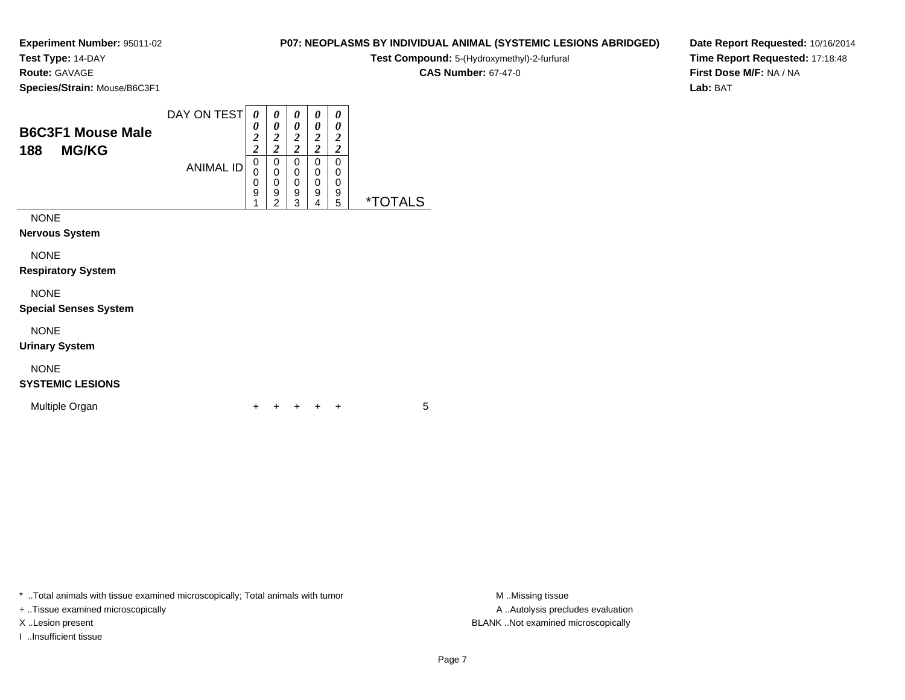**Test Type:** 14-DAY

**Route:** GAVAGE

**Species/Strain:** Mouse/B6C3F1

|             |  |  |  | <b>CAS Number: 67-47-0</b> |
|-------------|--|--|--|----------------------------|
| ouse/B6C3F1 |  |  |  |                            |
|             |  |  |  |                            |

**B6C3F1 Mouse Male188 MG/KG**ANIMAL ID *0 2 2*0<br>0<br>0<br>9<br>1 *0 2 2*0<br>0<br>0<br>9<br>2 *0 2 2* 0 0 0 9 3 *0 2 2* 0 0 0 9 4 *0 2 2* 00<br>9<br>5 5 \*TOTALSNONE

**Nervous System**

NONE

**Respiratory System**

NONE

**Special Senses System**

NONE

**Urinary System**

### NONE

**SYSTEMIC LESIONS**

Multiple Organn  $+$ 

<sup>+</sup> <sup>+</sup> <sup>+</sup> <sup>+</sup> <sup>5</sup>

\* ..Total animals with tissue examined microscopically; Total animals with tumor **M** ..Missing tissue M ..Missing tissue

+ ..Tissue examined microscopically

I ..Insufficient tissue

A .. Autolysis precludes evaluation X ..Lesion present BLANK ..Not examined microscopically

**P07: NEOPLASMS BY INDIVIDUAL ANIMAL (SYSTEMIC LESIONS ABRIDGED)Test Compound:** 5-(Hydroxymethyl)-2-furfural

**Date Report Requested:** 10/16/2014**Time Report Requested:** 17:18:48**First Dose M/F:** NA / NA**Lab:** BAT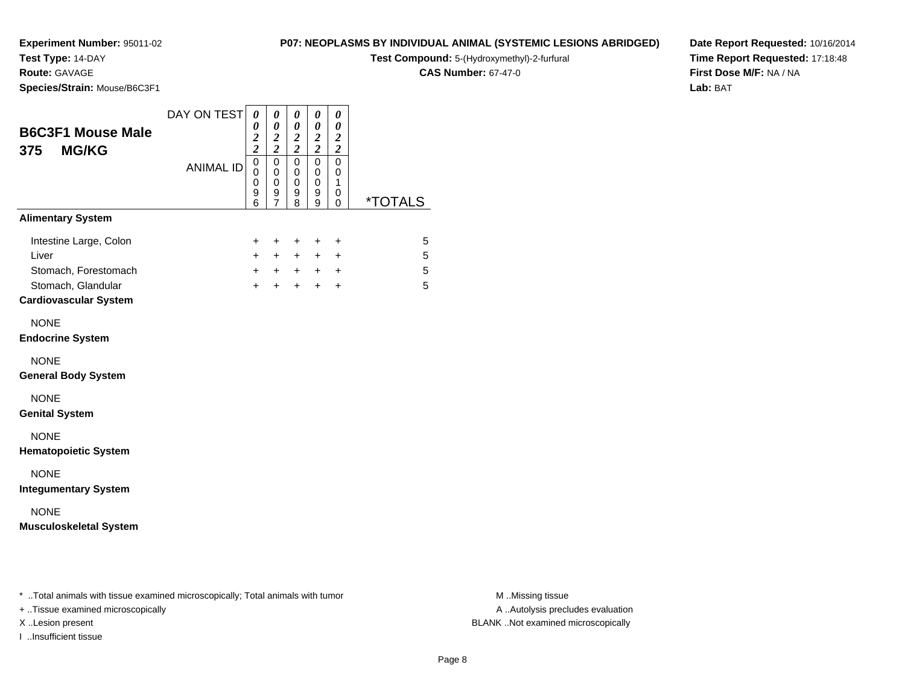## **Test Type:** 14-DAY

**Route:** GAVAGE

**Species/Strain:** Mouse/B6C3F1

#### **P07: NEOPLASMS BY INDIVIDUAL ANIMAL (SYSTEMIC LESIONS ABRIDGED)**

**Test Compound:** 5-(Hydroxymethyl)-2-furfural

**CAS Number:** 67-47-0

**Date Report Requested:** 10/16/2014**Time Report Requested:** 17:18:48**First Dose M/F:** NA / NA**Lab:** BAT

| <b>B6C3F1 Mouse Male</b><br><b>MG/KG</b><br>375         | DAY ON TEST      | $\boldsymbol{\theta}$<br>0<br>$\frac{2}{2}$            | $\boldsymbol{\theta}$<br>0<br>$\overline{2}$<br>$\overline{\mathbf{c}}$ | $\pmb{\theta}$<br>$\boldsymbol{\theta}$<br>$\boldsymbol{2}$<br>$\overline{2}$ | $\boldsymbol{\theta}$<br>0<br>$\frac{2}{2}$ | 0<br>0<br>$\boldsymbol{2}$<br>$\boldsymbol{2}$ |                       |
|---------------------------------------------------------|------------------|--------------------------------------------------------|-------------------------------------------------------------------------|-------------------------------------------------------------------------------|---------------------------------------------|------------------------------------------------|-----------------------|
|                                                         | <b>ANIMAL ID</b> | $\mathbf 0$<br>$\mathbf 0$<br>0<br>$\overline{9}$<br>6 | $\mathbf 0$<br>0<br>0<br>9<br>$\overline{7}$                            | $\mathbf 0$<br>$\mathbf 0$<br>$\mathbf 0$<br>9<br>8                           | $\mathbf 0$<br>0<br>$\mathbf 0$<br>9<br>9   | 0<br>0<br>$\mathbf{1}$<br>0<br>0               | <i><b>*TOTALS</b></i> |
| <b>Alimentary System</b>                                |                  |                                                        |                                                                         |                                                                               |                                             |                                                |                       |
| Intestine Large, Colon<br>Liver<br>Stomach, Forestomach |                  | $\ddot{}$<br>$+$<br>$\ddot{}$                          | +<br>$+$<br>$+$                                                         | $\ddot{}$<br>$+$<br>$+$                                                       | $\ddot{}$<br>$+$<br>$+$                     | $\ddot{}$<br>$\ddot{}$<br>$\ddot{}$            | 5<br>5<br>5           |
| Stomach, Glandular<br><b>Cardiovascular System</b>      |                  | $+$                                                    | $+$                                                                     | $+$                                                                           | $+$                                         | $\ddot{}$                                      | 5                     |
| <b>NONE</b><br><b>Endocrine System</b>                  |                  |                                                        |                                                                         |                                                                               |                                             |                                                |                       |
| <b>NONE</b><br><b>General Body System</b>               |                  |                                                        |                                                                         |                                                                               |                                             |                                                |                       |
| <b>NONE</b><br><b>Genital System</b>                    |                  |                                                        |                                                                         |                                                                               |                                             |                                                |                       |
| <b>NONE</b><br><b>Hematopoietic System</b>              |                  |                                                        |                                                                         |                                                                               |                                             |                                                |                       |
| <b>NONE</b><br><b>Integumentary System</b>              |                  |                                                        |                                                                         |                                                                               |                                             |                                                |                       |
| <b>NONE</b><br><b>Musculoskeletal System</b>            |                  |                                                        |                                                                         |                                                                               |                                             |                                                |                       |

\* ..Total animals with tissue examined microscopically; Total animals with tumor **M** . Missing tissue M ..Missing tissue

+ ..Tissue examined microscopically

I ..Insufficient tissue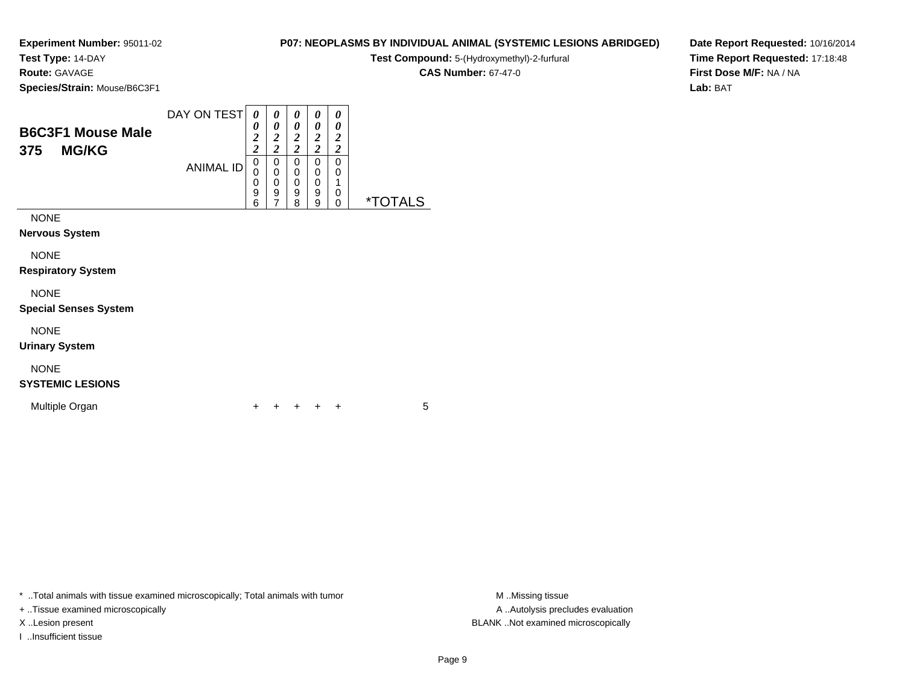**Test Type:** 14-DAY

**Route:** GAVAGE

**Species/Strain:** Mouse/B6C3F1

|       | <b>Test Compound:</b> 5-(Hydroxymethyl)-2-furfural |
|-------|----------------------------------------------------|
|       | <b>CAS Number: 67-47-0</b>                         |
| 6C3F1 |                                                    |

**Date Report Requested:** 10/16/2014**Time Report Requested:** 17:18:48**First Dose M/F:** NA / NA**Lab:** BAT

| <b>B6C3F1 Mouse Male</b><br><b>MG/KG</b><br>375 | DAY ON TEST      | 0<br>0<br>$\boldsymbol{2}$<br>$\overline{2}$ | 0<br>0<br>2<br>$\overline{\mathbf{c}}$ | 0<br>0<br>2<br>$\overline{c}$ | 0<br>0<br>2<br>$\overline{\mathbf{c}}$ | 0<br>0<br>2<br>2 |                       |
|-------------------------------------------------|------------------|----------------------------------------------|----------------------------------------|-------------------------------|----------------------------------------|------------------|-----------------------|
|                                                 | <b>ANIMAL ID</b> | 0<br>0<br>0<br>9<br>6                        | 0<br>0<br>0<br>9<br>7                  | 0<br>0<br>0<br>9<br>8         | 0<br>0<br>0<br>9<br>9                  | 0<br>0<br>0<br>0 | <i><b>*TOTALS</b></i> |
| <b>NONE</b>                                     |                  |                                              |                                        |                               |                                        |                  |                       |
| <b>Nervous System</b>                           |                  |                                              |                                        |                               |                                        |                  |                       |
| <b>NONE</b><br><b>Respiratory System</b>        |                  |                                              |                                        |                               |                                        |                  |                       |
| <b>NONE</b>                                     |                  |                                              |                                        |                               |                                        |                  |                       |

**Special Senses System**

NONE

**Urinary System**

### NONE

### **SYSTEMIC LESIONS**

Multiple Organn  $+$ 

<sup>+</sup> <sup>+</sup> <sup>+</sup> <sup>+</sup> <sup>5</sup>

\* ..Total animals with tissue examined microscopically; Total animals with tumor **M** . Missing tissue M ..Missing tissue

+ ..Tissue examined microscopically

I ..Insufficient tissue

A ..Autolysis precludes evaluation X ..Lesion present BLANK ..Not examined microscopically

**P07: NEOPLASMS BY INDIVIDUAL ANIMAL (SYSTEMIC LESIONS ABRIDGED)**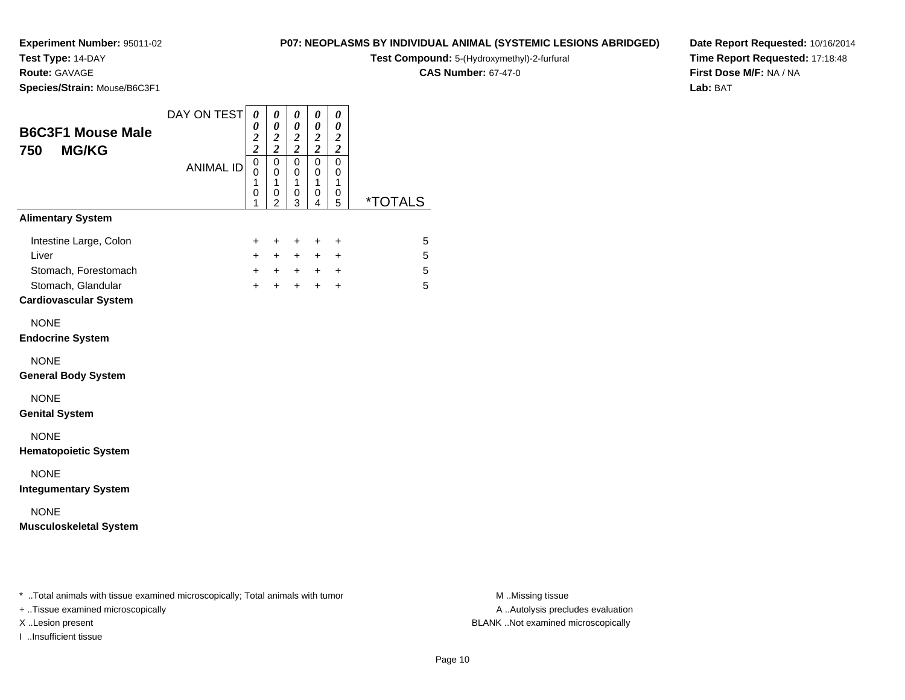## **Test Type:** 14-DAY

**Route:** GAVAGE

**Species/Strain:** Mouse/B6C3F1

#### **P07: NEOPLASMS BY INDIVIDUAL ANIMAL (SYSTEMIC LESIONS ABRIDGED)**

**Test Compound:** 5-(Hydroxymethyl)-2-furfural

**CAS Number:** 67-47-0

**Date Report Requested:** 10/16/2014**Time Report Requested:** 17:18:48**First Dose M/F:** NA / NA**Lab:** BAT

| <b>B6C3F1 Mouse Male</b><br><b>MG/KG</b><br>750         | DAY ON TEST      | $\boldsymbol{\theta}$<br>0<br>$\frac{2}{2}$ | 0<br>0<br>$\boldsymbol{2}$<br>$\overline{\mathbf{c}}$ | 0<br>0<br>$\boldsymbol{2}$<br>$\overline{2}$ | 0<br>0<br>$\frac{2}{2}$         | 0<br>0<br>$\boldsymbol{2}$<br>$\overline{\mathbf{c}}$ |                       |
|---------------------------------------------------------|------------------|---------------------------------------------|-------------------------------------------------------|----------------------------------------------|---------------------------------|-------------------------------------------------------|-----------------------|
|                                                         | <b>ANIMAL ID</b> | 0<br>$\mathbf 0$<br>1<br>0<br>1             | $\mathbf 0$<br>0<br>1<br>0<br>$\overline{2}$          | $\mathbf 0$<br>0<br>1<br>0<br>3              | $\mathbf 0$<br>0<br>1<br>0<br>4 | $\mathbf 0$<br>0<br>1<br>0<br>5                       | <i><b>*TOTALS</b></i> |
| <b>Alimentary System</b>                                |                  |                                             |                                                       |                                              |                                 |                                                       |                       |
| Intestine Large, Colon<br>Liver<br>Stomach, Forestomach |                  | $\pm$<br>$\ddot{}$<br>$\ddot{}$             | $\pm$<br>$+$<br>$+$                                   | $\ddot{}$<br>$+$<br>$+$                      | $\pm$<br>$+$ $-$                | $\ddot{}$<br>$\ddot{}$<br>$+$ $+$                     | 5<br>5<br>5           |
| Stomach, Glandular<br><b>Cardiovascular System</b>      |                  | $+$                                         | $\ddot{}$                                             | $\ddot{}$                                    | $+$                             | $\ddot{}$                                             | 5                     |
| <b>NONE</b><br><b>Endocrine System</b>                  |                  |                                             |                                                       |                                              |                                 |                                                       |                       |
| <b>NONE</b><br><b>General Body System</b>               |                  |                                             |                                                       |                                              |                                 |                                                       |                       |
| <b>NONE</b><br><b>Genital System</b>                    |                  |                                             |                                                       |                                              |                                 |                                                       |                       |
| <b>NONE</b><br><b>Hematopoietic System</b>              |                  |                                             |                                                       |                                              |                                 |                                                       |                       |
| <b>NONE</b><br><b>Integumentary System</b>              |                  |                                             |                                                       |                                              |                                 |                                                       |                       |
| <b>NONE</b><br><b>Musculoskeletal System</b>            |                  |                                             |                                                       |                                              |                                 |                                                       |                       |

\* ..Total animals with tissue examined microscopically; Total animals with tumor **M** . Missing tissue M ..Missing tissue

+ ..Tissue examined microscopically

I ..Insufficient tissue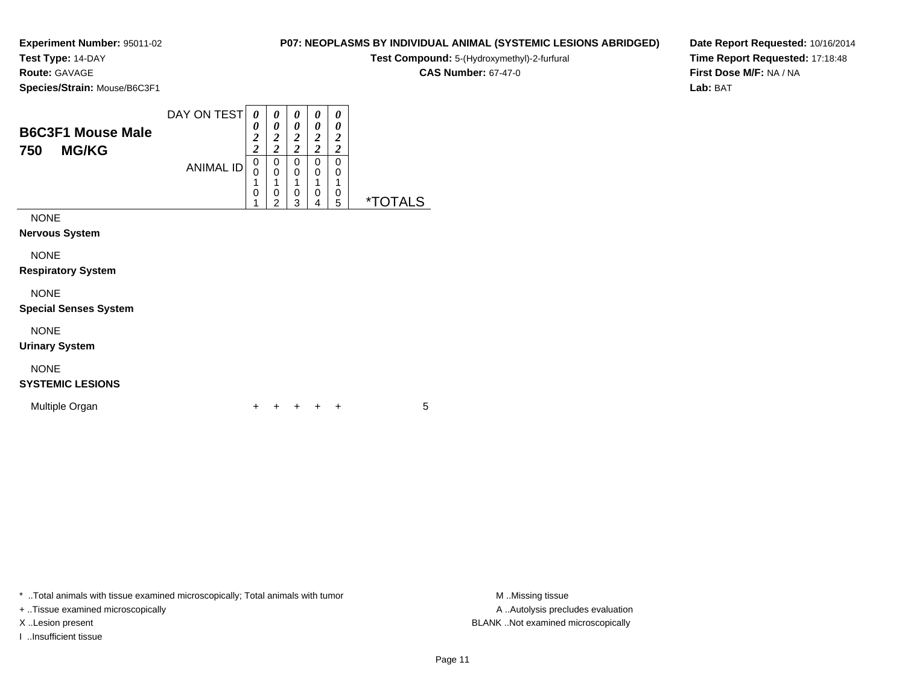**Test Type:** 14-DAY

**Route:** GAVAGE

**Species/Strain:** Mouse/B6C3F1

| P07: NEOPLASMS BY INDIVIDUAL ANIMAL (SYSTEMIC LESIONS ABRIDGED) |  |  |  |
|-----------------------------------------------------------------|--|--|--|
|                                                                 |  |  |  |

**Test Compound:** 5-(Hydroxymethyl)-2-furfural

**CAS Number:** 67-47-0

**Date Report Requested:** 10/16/2014**Time Report Requested:** 17:18:48**First Dose M/F:** NA / NA**Lab:** BAT

| <b>B6C3F1 Mouse Male</b><br><b>MG/KG</b><br>750 | DAY ON TEST      | 0<br>0<br>2<br>$\overline{2}$ | 0<br>0<br>2<br>$\overline{c}$ | 0<br>0<br>$\overline{2}$<br>$\overline{\mathbf{c}}$ | 0<br>0<br>$\overline{2}$<br>$\overline{c}$ | 0<br>0<br>$\boldsymbol{2}$<br>$\overline{\mathbf{c}}$ |                       |
|-------------------------------------------------|------------------|-------------------------------|-------------------------------|-----------------------------------------------------|--------------------------------------------|-------------------------------------------------------|-----------------------|
|                                                 | <b>ANIMAL ID</b> | 0<br>0<br>0                   | 0<br>0<br>0<br>2              | 0<br>0<br>0<br>3                                    | 0<br>0<br>1<br>0<br>4                      | 0<br>0<br>0<br>5                                      | <i><b>*TOTALS</b></i> |
| <b>NONE</b><br><b>Nervous System</b>            |                  |                               |                               |                                                     |                                            |                                                       |                       |
| <b>NONE</b><br><b>Respiratory System</b>        |                  |                               |                               |                                                     |                                            |                                                       |                       |
| <b>NONE</b>                                     |                  |                               |                               |                                                     |                                            |                                                       |                       |

**Special Senses System**

NONE

**Urinary System**

## NONE

### **SYSTEMIC LESIONS**

Multiple Organn  $+$ 

<sup>+</sup> <sup>+</sup> <sup>+</sup> <sup>+</sup> <sup>5</sup>

\* ..Total animals with tissue examined microscopically; Total animals with tumor **M** . Missing tissue M ..Missing tissue

+ ..Tissue examined microscopically

I ..Insufficient tissue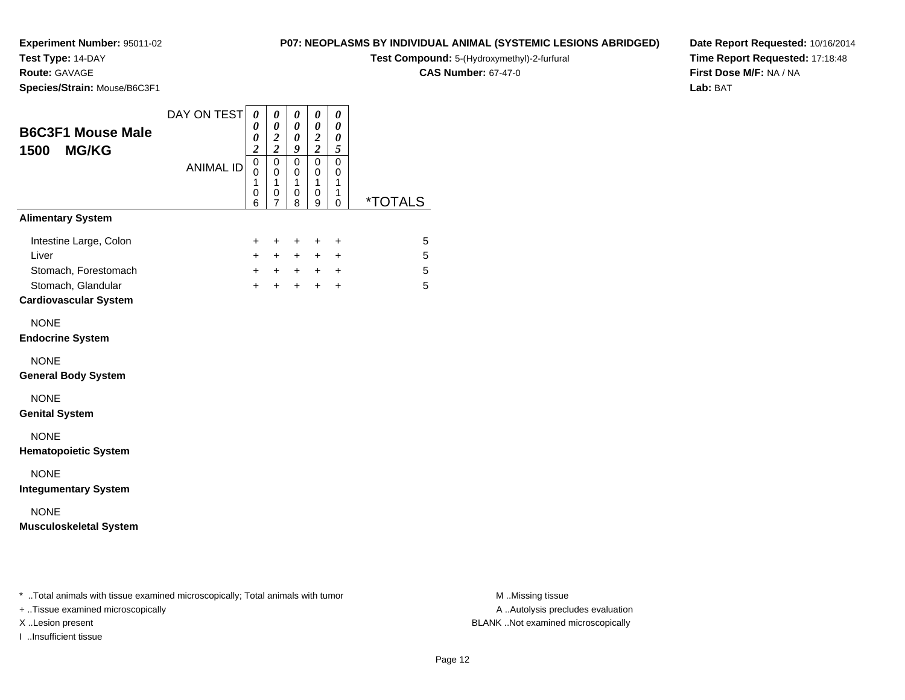**Test Type:** 14-DAY

### **Route:** GAVAGE

**Species/Strain:** Mouse/B6C3F1

### **P07: NEOPLASMS BY INDIVIDUAL ANIMAL (SYSTEMIC LESIONS ABRIDGED)**

**Test Compound:** 5-(Hydroxymethyl)-2-furfural

**CAS Number:** 67-47-0

**Date Report Requested:** 10/16/2014**Time Report Requested:** 17:18:48**First Dose M/F:** NA / NA**Lab:** BAT

|                                                                                                               | DAY ON TEST      | $\boldsymbol{\theta}$                                  | 0                                         | 0                              | 0                                            | 0                                                        |                       |
|---------------------------------------------------------------------------------------------------------------|------------------|--------------------------------------------------------|-------------------------------------------|--------------------------------|----------------------------------------------|----------------------------------------------------------|-----------------------|
| <b>B6C3F1 Mouse Male</b>                                                                                      |                  | 0<br>0                                                 | $\boldsymbol{\theta}$<br>$\frac{2}{2}$    | 0<br>0                         | 0<br>$\frac{2}{2}$                           | 0<br>0                                                   |                       |
| <b>MG/KG</b><br>1500                                                                                          | <b>ANIMAL ID</b> | $\boldsymbol{2}$<br>$\overline{0}$<br>0<br>1<br>0<br>6 | $\mathsf 0$<br>$\mathbf 0$<br>1<br>0<br>7 | 9<br>0<br>0<br>1<br>0<br>8     | $\overline{0}$<br>$\mathbf 0$<br>1<br>0<br>9 | 5<br>$\mathbf 0$<br>$\mathbf 0$<br>1<br>1<br>$\mathbf 0$ | <i><b>*TOTALS</b></i> |
| <b>Alimentary System</b>                                                                                      |                  |                                                        |                                           |                                |                                              |                                                          |                       |
| Intestine Large, Colon<br>Liver<br>Stomach, Forestomach<br>Stomach, Glandular<br><b>Cardiovascular System</b> |                  | $\pm$<br>$+$<br>$+$                                    | $\ddot{}$<br>$+$<br>$+$ $+$<br>$+$        | $\ddot{}$<br>$+$<br>$+$<br>$+$ | $\ddot{}$<br>$+$<br>$+$<br>$+$               | $\ddot{}$<br>$\ddot{}$<br>$\ddot{}$<br>$\ddot{}$         | 5<br>5<br>5<br>5      |
| <b>NONE</b><br><b>Endocrine System</b>                                                                        |                  |                                                        |                                           |                                |                                              |                                                          |                       |
| <b>NONE</b><br><b>General Body System</b>                                                                     |                  |                                                        |                                           |                                |                                              |                                                          |                       |
| <b>NONE</b><br><b>Genital System</b>                                                                          |                  |                                                        |                                           |                                |                                              |                                                          |                       |
| <b>NONE</b><br><b>Hematopoietic System</b>                                                                    |                  |                                                        |                                           |                                |                                              |                                                          |                       |
| <b>NONE</b><br><b>Integumentary System</b>                                                                    |                  |                                                        |                                           |                                |                                              |                                                          |                       |
| <b>NONE</b><br><b>Musculoskeletal System</b>                                                                  |                  |                                                        |                                           |                                |                                              |                                                          |                       |
|                                                                                                               |                  |                                                        |                                           |                                |                                              |                                                          |                       |
|                                                                                                               |                  |                                                        |                                           |                                |                                              |                                                          |                       |

\* ..Total animals with tissue examined microscopically; Total animals with tumor **M** . Missing tissue M ..Missing tissue

+ ..Tissue examined microscopically

I ..Insufficient tissue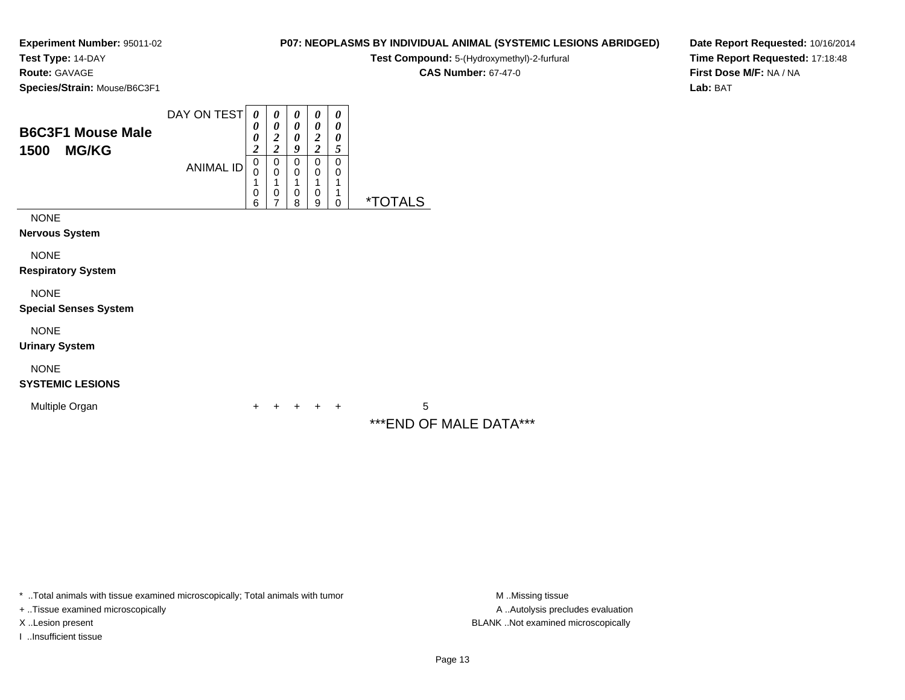**Test Type:** 14-DAY

**Route:** GAVAGE

**Species/Strain:** Mouse/B6C3F1

### **P07: NEOPLASMS BY INDIVIDUAL ANIMAL (SYSTEMIC LESIONS ABRIDGED)**

**Test Compound:** 5-(Hydroxymethyl)-2-furfural

**CAS Number:** 67-47-0

**Date Report Requested:** 10/16/2014**Time Report Requested:** 17:18:48**First Dose M/F:** NA / NA**Lab:** BAT

| <b>B6C3F1 Mouse Male</b><br>1500<br><b>MG/KG</b> | DAY ON TEST<br><b>ANIMAL ID</b> | 0<br>0<br>0<br>$\overline{\mathbf{c}}$<br>$\pmb{0}$<br>0<br>0<br>6 | 0<br>$\boldsymbol{\theta}$<br>$\boldsymbol{2}$<br>$\overline{\mathbf{c}}$<br>$\,0\,$<br>$\mathbf 0$<br>1<br>$\mathbf 0$<br>7 | 0<br>$\boldsymbol{\theta}$<br>0<br>9<br>$\mathbf 0$<br>$\mathbf 0$<br>1<br>0<br>8 | 0<br>0<br>$\boldsymbol{2}$<br>$\overline{\mathbf{c}}$<br>$\pmb{0}$<br>0<br>1<br>0<br>9 | 0<br>0<br>0<br>5<br>$\mathbf 0$<br>0<br>1<br>1<br>$\mathbf 0$ | <i><b>*TOTALS</b></i>       |
|--------------------------------------------------|---------------------------------|--------------------------------------------------------------------|------------------------------------------------------------------------------------------------------------------------------|-----------------------------------------------------------------------------------|----------------------------------------------------------------------------------------|---------------------------------------------------------------|-----------------------------|
| <b>NONE</b><br><b>Nervous System</b>             |                                 |                                                                    |                                                                                                                              |                                                                                   |                                                                                        |                                                               |                             |
| <b>NONE</b><br><b>Respiratory System</b>         |                                 |                                                                    |                                                                                                                              |                                                                                   |                                                                                        |                                                               |                             |
| <b>NONE</b><br><b>Special Senses System</b>      |                                 |                                                                    |                                                                                                                              |                                                                                   |                                                                                        |                                                               |                             |
| <b>NONE</b><br><b>Urinary System</b>             |                                 |                                                                    |                                                                                                                              |                                                                                   |                                                                                        |                                                               |                             |
| <b>NONE</b><br><b>SYSTEMIC LESIONS</b>           |                                 |                                                                    |                                                                                                                              |                                                                                   |                                                                                        |                                                               |                             |
| Multiple Organ                                   |                                 | +                                                                  |                                                                                                                              | ٠                                                                                 | ÷                                                                                      | $\ddot{}$                                                     | 5<br>***END OF MALE DATA*** |

 $\Box$ 

\* ..Total animals with tissue examined microscopically; Total animals with tumor

+ ..Tissue examined microscopically

I ..Insufficient tissue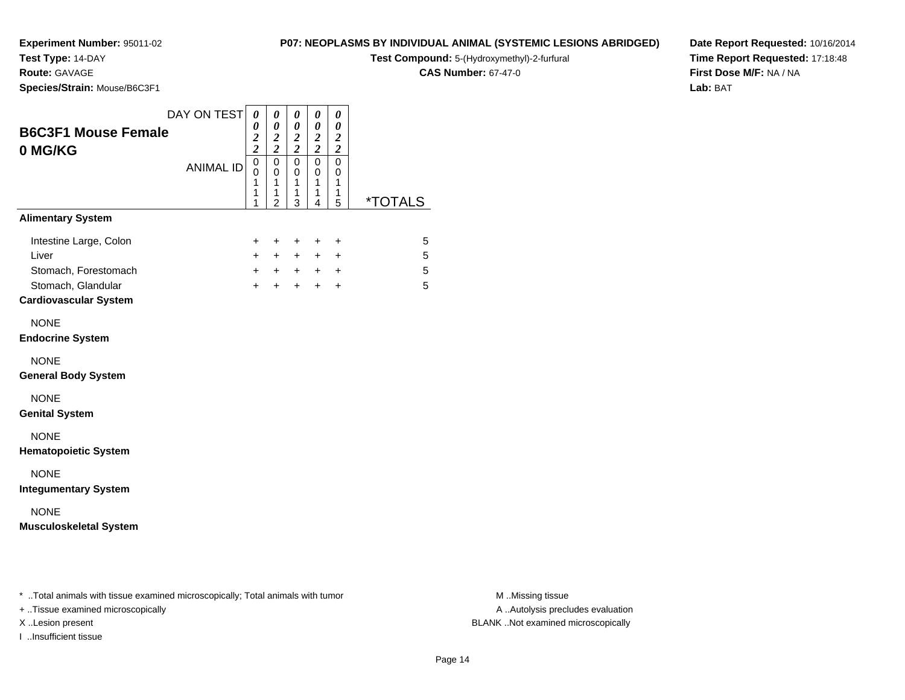## **Test Type:** 14-DAY

**Route:** GAVAGE

**Species/Strain:** Mouse/B6C3F1

#### **P07: NEOPLASMS BY INDIVIDUAL ANIMAL (SYSTEMIC LESIONS ABRIDGED)**

**Test Compound:** 5-(Hydroxymethyl)-2-furfural

**CAS Number:** 67-47-0

**Date Report Requested:** 10/16/2014**Time Report Requested:** 17:18:48**First Dose M/F:** NA / NA**Lab:** BAT

|                                       | DAY ON TEST      | 0                                 | 0                        | $\pmb{\theta}$                        | 0                                               | 0                          |                       |
|---------------------------------------|------------------|-----------------------------------|--------------------------|---------------------------------------|-------------------------------------------------|----------------------------|-----------------------|
| <b>B6C3F1 Mouse Female</b><br>0 MG/KG |                  | 0<br>$\frac{2}{2}$                | 0<br>$\frac{2}{2}$       | 0<br>$\frac{2}{2}$                    | 0<br>$\frac{2}{2}$                              | 0<br>$\frac{2}{2}$         |                       |
|                                       | <b>ANIMAL ID</b> | $\mathbf 0$<br>$\Omega$<br>1<br>1 | $\pmb{0}$<br>0<br>1<br>1 | 0<br>$\mathbf 0$<br>$\mathbf{1}$<br>1 | $\mathbf 0$<br>$\mathbf 0$<br>$\mathbf{1}$<br>1 | 0<br>$\mathbf 0$<br>1<br>1 |                       |
|                                       |                  | 1                                 | $\overline{2}$           | 3                                     | 4                                               | 5                          | <i><b>*TOTALS</b></i> |
| <b>Alimentary System</b>              |                  |                                   |                          |                                       |                                                 |                            |                       |
| Intestine Large, Colon                |                  | $\ddot{}$                         | $\ddot{}$                | $+$                                   | $\ddot{}$                                       | $\ddot{}$                  | 5                     |
| Liver                                 |                  | $+$                               | $+$                      | $+$                                   | $+$                                             | $\ddot{}$                  | 5                     |
| Stomach, Forestomach                  |                  | $+$                               | $+$ $+$                  |                                       |                                                 | $+$ $+$                    | 5                     |
| Stomach, Glandular                    |                  | $+$                               | $+$                      | $+$                                   | $+$                                             | $\ddot{}$                  | 5                     |
| <b>Cardiovascular System</b>          |                  |                                   |                          |                                       |                                                 |                            |                       |
| <b>NONE</b>                           |                  |                                   |                          |                                       |                                                 |                            |                       |
| <b>Endocrine System</b>               |                  |                                   |                          |                                       |                                                 |                            |                       |
| <b>NONE</b>                           |                  |                                   |                          |                                       |                                                 |                            |                       |
| <b>General Body System</b>            |                  |                                   |                          |                                       |                                                 |                            |                       |
| <b>NONE</b>                           |                  |                                   |                          |                                       |                                                 |                            |                       |
| <b>Genital System</b>                 |                  |                                   |                          |                                       |                                                 |                            |                       |
| <b>NONE</b>                           |                  |                                   |                          |                                       |                                                 |                            |                       |
| <b>Hematopoietic System</b>           |                  |                                   |                          |                                       |                                                 |                            |                       |
| <b>NONE</b>                           |                  |                                   |                          |                                       |                                                 |                            |                       |
| <b>Integumentary System</b>           |                  |                                   |                          |                                       |                                                 |                            |                       |
| <b>NONE</b>                           |                  |                                   |                          |                                       |                                                 |                            |                       |
| <b>Musculoskeletal System</b>         |                  |                                   |                          |                                       |                                                 |                            |                       |
|                                       |                  |                                   |                          |                                       |                                                 |                            |                       |
|                                       |                  |                                   |                          |                                       |                                                 |                            |                       |
|                                       |                  |                                   |                          |                                       |                                                 |                            |                       |

\* ..Total animals with tissue examined microscopically; Total animals with tumor **M** . Missing tissue M ..Missing tissue

+ ..Tissue examined microscopically

I ..Insufficient tissue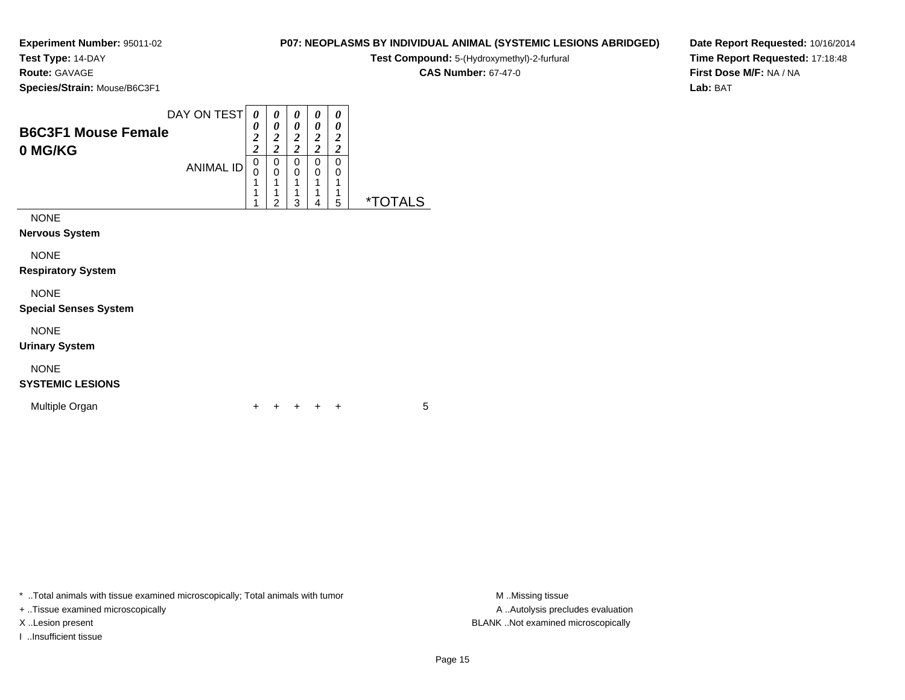**Test Type:** 14-DAY

**Route:** GAVAGE

**Species/Strain:** Mouse/B6C3F1

### **P07: NEOPLASMS BY INDIVIDUAL ANIMAL (SYSTEMIC LESIONS ABRIDGED)**

**Test Compound:** 5-(Hydroxymethyl)-2-furfural

**CAS Number:** 67-47-0

**Date Report Requested:** 10/16/2014**Time Report Requested:** 17:18:48**First Dose M/F:** NA / NA**Lab:** BAT

| <b>B6C3F1 Mouse Female</b><br>0 MG/KG       | DAY ON TEST<br><b>ANIMAL ID</b> | 0<br>0<br>$\boldsymbol{2}$<br>$\overline{c}$<br>0<br>0<br>1 | 0<br>0<br>$\boldsymbol{2}$<br>$\overline{c}$<br>0<br>0<br>1<br>1 | 0<br>0<br>$\boldsymbol{2}$<br>$\overline{2}$<br>0<br>0<br>1 | 0<br>0<br>$\boldsymbol{2}$<br>$\boldsymbol{2}$<br>0<br>0<br>1 | 0<br>0<br>$\boldsymbol{2}$<br>$\overline{2}$<br>0<br>0<br>1<br>1 |                       |
|---------------------------------------------|---------------------------------|-------------------------------------------------------------|------------------------------------------------------------------|-------------------------------------------------------------|---------------------------------------------------------------|------------------------------------------------------------------|-----------------------|
| <b>NONE</b><br>Nervous System               |                                 |                                                             | 2                                                                | 3                                                           | 4                                                             | 5                                                                | <i><b>*TOTALS</b></i> |
| <b>NONE</b><br><b>Respiratory System</b>    |                                 |                                                             |                                                                  |                                                             |                                                               |                                                                  |                       |
| <b>NONE</b><br><b>Special Senses System</b> |                                 |                                                             |                                                                  |                                                             |                                                               |                                                                  |                       |
| <b>NONE</b><br><b>Urinary System</b>        |                                 |                                                             |                                                                  |                                                             |                                                               |                                                                  |                       |
| <b>NONE</b>                                 |                                 |                                                             |                                                                  |                                                             |                                                               |                                                                  |                       |

### **SYSTEMIC LESIONS**

Multiple Organn  $+$ 

<sup>+</sup> <sup>+</sup> <sup>+</sup> <sup>+</sup> <sup>5</sup>

\* ..Total animals with tissue examined microscopically; Total animals with tumor **M** . Missing tissue M ..Missing tissue

+ ..Tissue examined microscopically

I ..Insufficient tissue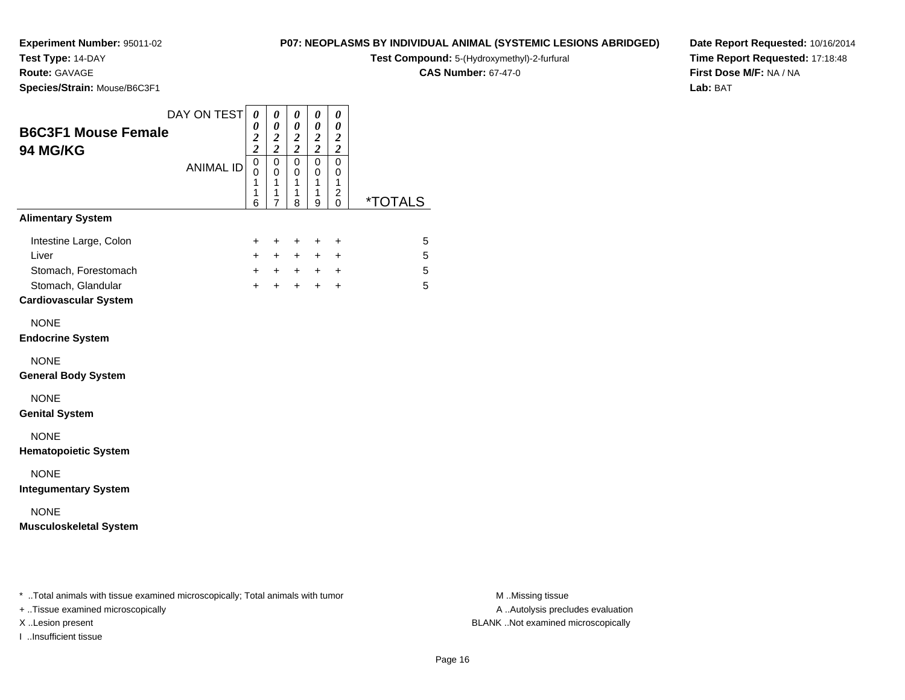**Test Type:** 14-DAY

**Route:** GAVAGE

**Species/Strain:** Mouse/B6C3F1

#### **P07: NEOPLASMS BY INDIVIDUAL ANIMAL (SYSTEMIC LESIONS ABRIDGED)**

**Test Compound:** 5-(Hydroxymethyl)-2-furfural

**CAS Number:** 67-47-0

**Date Report Requested:** 10/16/2014**Time Report Requested:** 17:18:48**First Dose M/F:** NA / NA**Lab:** BAT

|                                        | DAY ON TEST      | 0                                              | 0                                      | 0                                                           | 0                                       | 0                                        |                       |
|----------------------------------------|------------------|------------------------------------------------|----------------------------------------|-------------------------------------------------------------|-----------------------------------------|------------------------------------------|-----------------------|
| <b>B6C3F1 Mouse Female</b><br>94 MG/KG |                  | $\theta$<br>$\boldsymbol{2}$<br>$\overline{c}$ | $\boldsymbol{\theta}$<br>$\frac{2}{2}$ | $\boldsymbol{\theta}$<br>$\boldsymbol{2}$<br>$\overline{2}$ | 0<br>$\boldsymbol{2}$<br>$\overline{2}$ | 0<br>$\boldsymbol{2}$<br>$\overline{2}$  |                       |
|                                        | <b>ANIMAL ID</b> | $\mathbf 0$<br>$\Omega$<br>1<br>1              | 0<br>$\mathbf 0$<br>$\mathbf{1}$<br>1  | $\mathbf 0$<br>$\mathbf 0$<br>$\mathbf{1}$<br>1             | 0<br>0<br>1<br>1                        | 0<br>0<br>$\mathbf{1}$<br>$\overline{c}$ |                       |
| <b>Alimentary System</b>               |                  | 6                                              | $\overline{7}$                         | 8                                                           | 9                                       | 0                                        | <i><b>*TOTALS</b></i> |
| Intestine Large, Colon                 |                  | $\ddot{}$                                      | $\ddot{}$                              | $\ddot{}$                                                   | $\ddot{}$                               | $\ddot{}$                                | 5                     |
| Liver                                  |                  | $\ddot{}$                                      | $+$                                    | $+$                                                         | $+$                                     | $\ddot{}$                                | 5                     |
| Stomach, Forestomach                   |                  | $+$                                            | $+$                                    | $+$                                                         |                                         | $+$ $+$                                  | 5                     |
| Stomach, Glandular                     |                  | $+$                                            | $+$                                    | $+$                                                         | $+$                                     | $\ddot{}$                                | 5                     |
| <b>Cardiovascular System</b>           |                  |                                                |                                        |                                                             |                                         |                                          |                       |
| <b>NONE</b>                            |                  |                                                |                                        |                                                             |                                         |                                          |                       |
| <b>Endocrine System</b>                |                  |                                                |                                        |                                                             |                                         |                                          |                       |
| <b>NONE</b>                            |                  |                                                |                                        |                                                             |                                         |                                          |                       |
| <b>General Body System</b>             |                  |                                                |                                        |                                                             |                                         |                                          |                       |
| <b>NONE</b>                            |                  |                                                |                                        |                                                             |                                         |                                          |                       |
| <b>Genital System</b>                  |                  |                                                |                                        |                                                             |                                         |                                          |                       |
| <b>NONE</b>                            |                  |                                                |                                        |                                                             |                                         |                                          |                       |
| <b>Hematopoietic System</b>            |                  |                                                |                                        |                                                             |                                         |                                          |                       |
| <b>NONE</b>                            |                  |                                                |                                        |                                                             |                                         |                                          |                       |
| <b>Integumentary System</b>            |                  |                                                |                                        |                                                             |                                         |                                          |                       |
| <b>NONE</b>                            |                  |                                                |                                        |                                                             |                                         |                                          |                       |
| <b>Musculoskeletal System</b>          |                  |                                                |                                        |                                                             |                                         |                                          |                       |
|                                        |                  |                                                |                                        |                                                             |                                         |                                          |                       |
|                                        |                  |                                                |                                        |                                                             |                                         |                                          |                       |
|                                        |                  |                                                |                                        |                                                             |                                         |                                          |                       |

\* ..Total animals with tissue examined microscopically; Total animals with tumor **M** . Missing tissue M ..Missing tissue

+ ..Tissue examined microscopically

I ..Insufficient tissue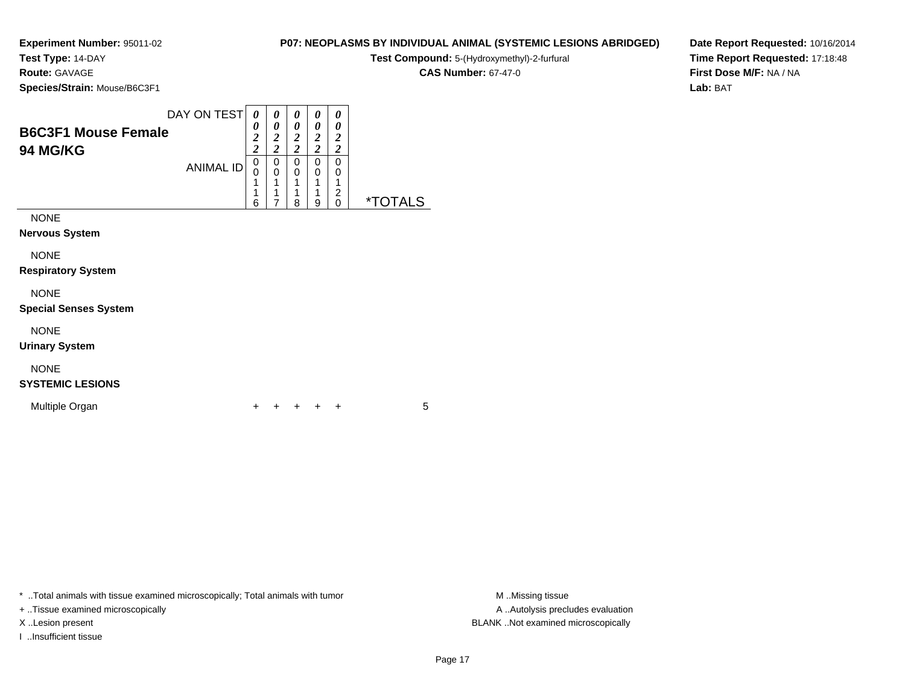### **Test Type:** 14-DAY

**Route:** GAVAGE

**Species/Strain:** Mouse/B6C3F1

### **P07: NEOPLASMS BY INDIVIDUAL ANIMAL (SYSTEMIC LESIONS ABRIDGED)**

**Test Compound:** 5-(Hydroxymethyl)-2-furfural

**CAS Number:** 67-47-0

**Date Report Requested:** 10/16/2014**Time Report Requested:** 17:18:48**First Dose M/F:** NA / NA**Lab:** BAT

| <b>B6C3F1 Mouse Female</b><br><b>94 MG/KG</b> | DAY ON TEST      | 0<br>0<br>$\overline{2}$<br>$\overline{\mathbf{c}}$ | 0<br>0<br>$\overline{2}$<br>$\boldsymbol{2}$ | 0<br>0<br>$\overline{2}$<br>$\overline{2}$ | 0<br>0<br>$\overline{\mathbf{c}}$<br>$\overline{c}$ | 0<br>0<br>2<br>$\overline{c}$ |                       |
|-----------------------------------------------|------------------|-----------------------------------------------------|----------------------------------------------|--------------------------------------------|-----------------------------------------------------|-------------------------------|-----------------------|
|                                               | <b>ANIMAL ID</b> | 0<br>0<br>4<br>1<br>6                               | 0<br>0<br>1<br>1<br>7                        | 0<br>$\mathbf 0$<br>1<br>1<br>8            | 0<br>0<br>1<br>1<br>9                               | 0<br>0<br>2<br>0              | <i><b>*TOTALS</b></i> |
| <b>NONE</b><br><b>Nervous System</b>          |                  |                                                     |                                              |                                            |                                                     |                               |                       |
| <b>NONE</b><br><b>Respiratory System</b>      |                  |                                                     |                                              |                                            |                                                     |                               |                       |
| <b>NONE</b><br><b>Special Senses System</b>   |                  |                                                     |                                              |                                            |                                                     |                               |                       |

NONE

**Urinary System**

# NONE

**SYSTEMIC LESIONS**

Multiple Organn  $+$ 

<sup>+</sup> <sup>+</sup> <sup>+</sup> <sup>+</sup> <sup>5</sup>

\* ..Total animals with tissue examined microscopically; Total animals with tumor **M** ...Missing tissue M ...Missing tissue

+ ..Tissue examined microscopically

I ..Insufficient tissue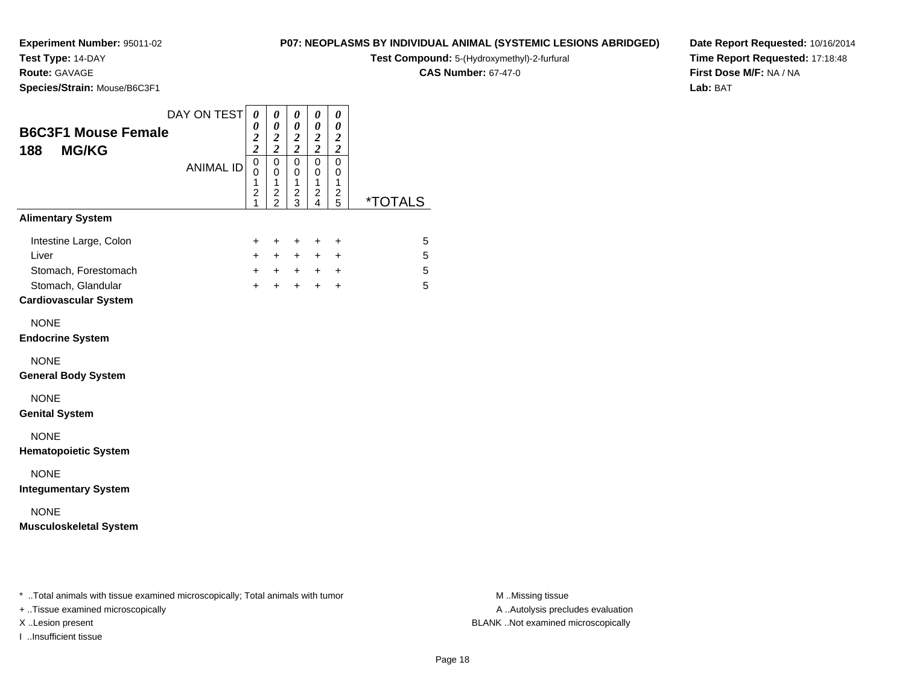# **Test Type:** 14-DAY

**Route:** GAVAGE

**Species/Strain:** Mouse/B6C3F1

#### **P07: NEOPLASMS BY INDIVIDUAL ANIMAL (SYSTEMIC LESIONS ABRIDGED)**

**Test Compound:** 5-(Hydroxymethyl)-2-furfural

**CAS Number:** 67-47-0

**Date Report Requested:** 10/16/2014**Time Report Requested:** 17:18:48**First Dose M/F:** NA / NA**Lab:** BAT

| <b>B6C3F1 Mouse Female</b><br><b>MG/KG</b><br>188                                                             | DAY ON TEST      | 0<br>0<br>$\frac{2}{2}$            | 0<br>$\boldsymbol{\theta}$<br>$\frac{2}{2}$               | $\pmb{\theta}$<br>$\pmb{\theta}$<br>$\frac{2}{2}$ | 0<br>$\pmb{\theta}$<br>$\frac{2}{2}$                                 | 0<br>$\boldsymbol{\theta}$<br>$\frac{2}{2}$    |                       |
|---------------------------------------------------------------------------------------------------------------|------------------|------------------------------------|-----------------------------------------------------------|---------------------------------------------------|----------------------------------------------------------------------|------------------------------------------------|-----------------------|
|                                                                                                               | <b>ANIMAL ID</b> | 0<br>0<br>1<br>$\overline{c}$<br>1 | $\mathbf 0$<br>0<br>1<br>$\overline{c}$<br>$\overline{2}$ | $\mathbf 0$<br>0<br>$\mathbf{1}$<br>$\frac{2}{3}$ | $\mathbf 0$<br>0<br>$\mathbf{1}$<br>$\overline{c}$<br>$\overline{4}$ | $\pmb{0}$<br>0<br>$\mathbf{1}$<br>2<br>5       | <i><b>*TOTALS</b></i> |
| <b>Alimentary System</b>                                                                                      |                  |                                    |                                                           |                                                   |                                                                      |                                                |                       |
| Intestine Large, Colon<br>Liver<br>Stomach, Forestomach<br>Stomach, Glandular<br><b>Cardiovascular System</b> |                  | +<br>$+$<br>$+$<br>$\ddot{}$       | +<br>$+$<br>$+$<br>$\ddot{}$                              | $\ddot{}$<br>$+$<br>$+$<br>$+$                    | $\ddot{}$<br>$+$<br>$+$                                              | $\ddot{}$<br>$\ddot{}$<br>$+$ $+$<br>$\ddot{}$ | 5<br>5<br>5<br>5      |
| <b>NONE</b><br><b>Endocrine System</b>                                                                        |                  |                                    |                                                           |                                                   |                                                                      |                                                |                       |
| <b>NONE</b><br><b>General Body System</b>                                                                     |                  |                                    |                                                           |                                                   |                                                                      |                                                |                       |
| <b>NONE</b><br><b>Genital System</b>                                                                          |                  |                                    |                                                           |                                                   |                                                                      |                                                |                       |
| <b>NONE</b><br><b>Hematopoietic System</b>                                                                    |                  |                                    |                                                           |                                                   |                                                                      |                                                |                       |
| <b>NONE</b><br><b>Integumentary System</b>                                                                    |                  |                                    |                                                           |                                                   |                                                                      |                                                |                       |
| <b>NONE</b><br><b>Musculoskeletal System</b>                                                                  |                  |                                    |                                                           |                                                   |                                                                      |                                                |                       |
|                                                                                                               |                  |                                    |                                                           |                                                   |                                                                      |                                                |                       |

\* ..Total animals with tissue examined microscopically; Total animals with tumor **M** . Missing tissue M ..Missing tissue

+ ..Tissue examined microscopically

I ..Insufficient tissue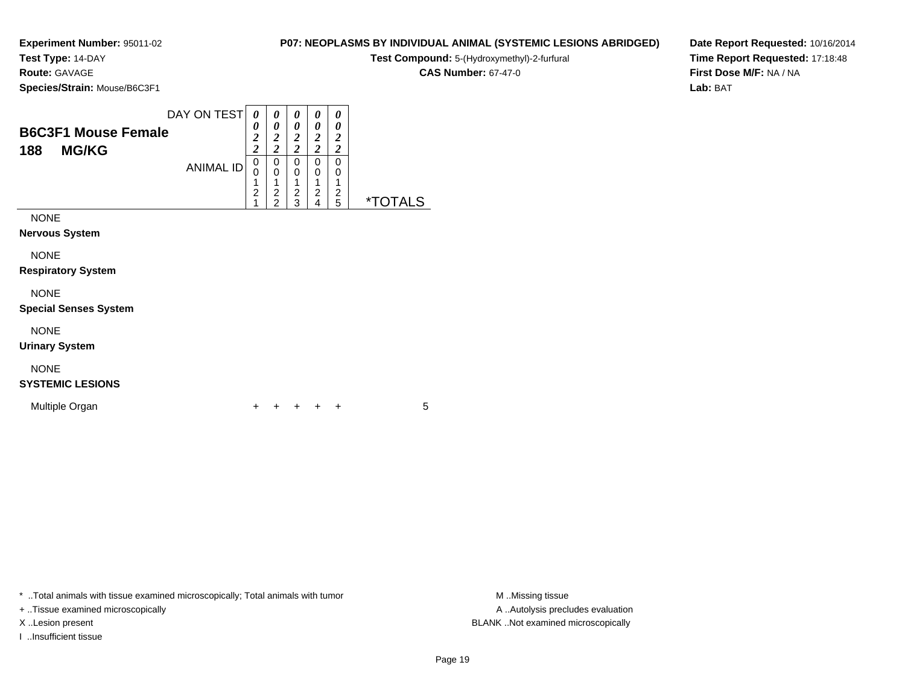**Test Type:** 14-DAY

**Route:** GAVAGE

**Species/Strain:** Mouse/B6C3F1

| P07: NEOPLASMS BY INDIVIDUAL ANIMAL (SYSTEMIC LESIONS ABRIDGED) |  |  |
|-----------------------------------------------------------------|--|--|
|-----------------------------------------------------------------|--|--|

**Test Compound:** 5-(Hydroxymethyl)-2-furfural

**CAS Number:** 67-47-0

**Date Report Requested:** 10/16/2014**Time Report Requested:** 17:18:48**First Dose M/F:** NA / NA**Lab:** BAT

| <b>B6C3F1 Mouse Female</b><br><b>MG/KG</b><br>188   | DAY ON TEST<br><b>ANIMAL ID</b> | 0<br>0<br>$\overline{\mathbf{c}}$<br>$\overline{2}$<br>0<br>0<br>1<br>$\overline{2}$ | 0<br>0<br>$\overline{\mathbf{c}}$<br>$\overline{2}$<br>0<br>0<br>1<br>$\overline{c}$ | 0<br>0<br>$\overline{2}$<br>$\overline{\mathbf{c}}$<br>0<br>0<br>1<br>$\overline{c}$ | 0<br>0<br>$\overline{2}$<br>$\overline{c}$<br>0<br>0<br>$\overline{c}$ | 0<br>0<br>$\overline{2}$<br>$\overline{2}$<br>0<br>0<br>2 |                       |
|-----------------------------------------------------|---------------------------------|--------------------------------------------------------------------------------------|--------------------------------------------------------------------------------------|--------------------------------------------------------------------------------------|------------------------------------------------------------------------|-----------------------------------------------------------|-----------------------|
| <b>NONE</b><br><b>Nervous System</b><br><b>NONE</b> |                                 | 1                                                                                    | $\overline{2}$                                                                       | 3                                                                                    | 4                                                                      | 5                                                         | <i><b>*TOTALS</b></i> |
| <b>Respiratory System</b><br><b>NONE</b>            |                                 |                                                                                      |                                                                                      |                                                                                      |                                                                        |                                                           |                       |
| <b>Special Senses System</b><br><b>NONE</b>         |                                 |                                                                                      |                                                                                      |                                                                                      |                                                                        |                                                           |                       |
| <b>Urinary System</b>                               |                                 |                                                                                      |                                                                                      |                                                                                      |                                                                        |                                                           |                       |

# NONE

### **SYSTEMIC LESIONS**

Multiple Organn  $+$ 

<sup>+</sup> <sup>+</sup> <sup>+</sup> <sup>+</sup> <sup>5</sup>

\* ..Total animals with tissue examined microscopically; Total animals with tumor **M** . Missing tissue M ..Missing tissue

+ ..Tissue examined microscopically

I ..Insufficient tissue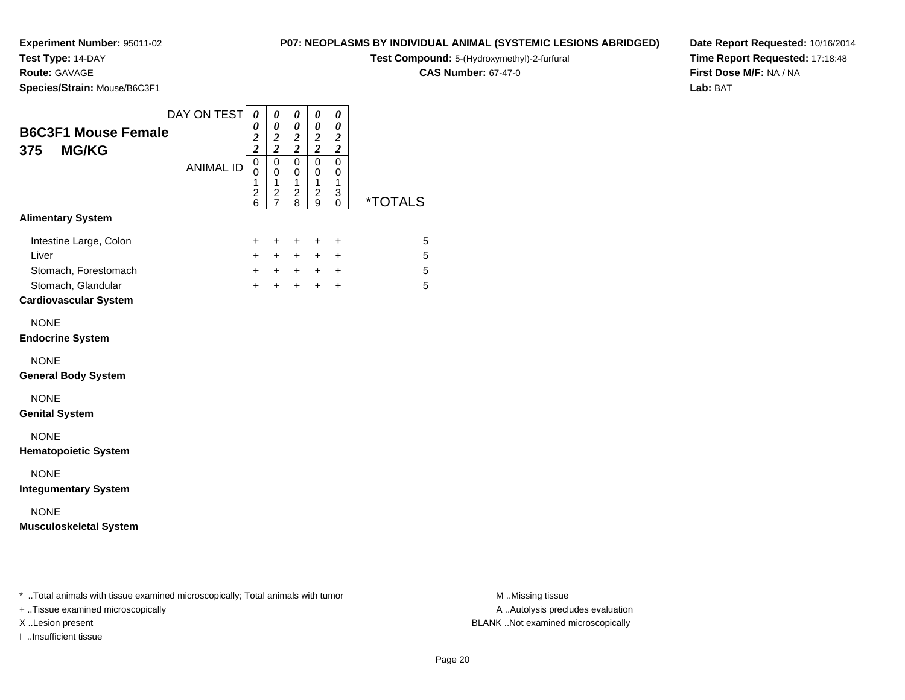# **Test Type:** 14-DAY

**Route:** GAVAGE

**Species/Strain:** Mouse/B6C3F1

#### **P07: NEOPLASMS BY INDIVIDUAL ANIMAL (SYSTEMIC LESIONS ABRIDGED)**

**Test Compound:** 5-(Hydroxymethyl)-2-furfural

**CAS Number:** 67-47-0

**Date Report Requested:** 10/16/2014**Time Report Requested:** 17:18:48**First Dose M/F:** NA / NA**Lab:** BAT

| <b>B6C3F1 Mouse Female</b>                                                                                    | DAY ON TEST      | $\boldsymbol{\theta}$<br>0<br>$\frac{2}{2}$                      | 0<br>0<br>$\frac{2}{2}$                                                      | 0<br>0                                                                                    | 0<br>0<br>$\frac{2}{2}$                                                    | 0<br>0                                         |                       |
|---------------------------------------------------------------------------------------------------------------|------------------|------------------------------------------------------------------|------------------------------------------------------------------------------|-------------------------------------------------------------------------------------------|----------------------------------------------------------------------------|------------------------------------------------|-----------------------|
| <b>MG/KG</b><br>375                                                                                           | <b>ANIMAL ID</b> | $\mathbf 0$<br>0<br>$\mathbf{1}$<br>$\overline{\mathbf{c}}$<br>6 | $\mathbf 0$<br>$\pmb{0}$<br>$\mathbf{1}$<br>$\overline{c}$<br>$\overline{7}$ | $\frac{2}{2}$<br>$\pmb{0}$<br>$\mathbf 0$<br>$\mathbf{1}$<br>$\overline{\mathbf{c}}$<br>8 | $\mathbf 0$<br>$\mathbf 0$<br>$\mathbf{1}$<br>$\overline{\mathbf{c}}$<br>9 | $\frac{2}{2}$<br>$\pmb{0}$<br>0<br>1<br>3<br>0 | <i><b>*TOTALS</b></i> |
| <b>Alimentary System</b>                                                                                      |                  |                                                                  |                                                                              |                                                                                           |                                                                            |                                                |                       |
| Intestine Large, Colon<br>Liver<br>Stomach, Forestomach<br>Stomach, Glandular<br><b>Cardiovascular System</b> |                  | +<br>$+$<br>$+$                                                  | $\ddot{}$<br>$+$<br>$+$                                                      | $+$<br>$+$<br>$+$ $+$ $+$<br>$+$                                                          | $\ddot{}$<br>$+$<br>$+$                                                    | $\ddot{}$<br>$\ddot{}$<br>$+$ $+$<br>$\ddot{}$ | 5<br>5<br>5<br>5      |
| <b>NONE</b><br><b>Endocrine System</b>                                                                        |                  |                                                                  |                                                                              |                                                                                           |                                                                            |                                                |                       |
| <b>NONE</b><br><b>General Body System</b>                                                                     |                  |                                                                  |                                                                              |                                                                                           |                                                                            |                                                |                       |
| <b>NONE</b><br><b>Genital System</b>                                                                          |                  |                                                                  |                                                                              |                                                                                           |                                                                            |                                                |                       |
| <b>NONE</b><br><b>Hematopoietic System</b>                                                                    |                  |                                                                  |                                                                              |                                                                                           |                                                                            |                                                |                       |
| <b>NONE</b><br><b>Integumentary System</b>                                                                    |                  |                                                                  |                                                                              |                                                                                           |                                                                            |                                                |                       |
| <b>NONE</b><br><b>Musculoskeletal System</b>                                                                  |                  |                                                                  |                                                                              |                                                                                           |                                                                            |                                                |                       |
|                                                                                                               |                  |                                                                  |                                                                              |                                                                                           |                                                                            |                                                |                       |

\* ..Total animals with tissue examined microscopically; Total animals with tumor **M** . Missing tissue M ..Missing tissue

+ ..Tissue examined microscopically

I ..Insufficient tissue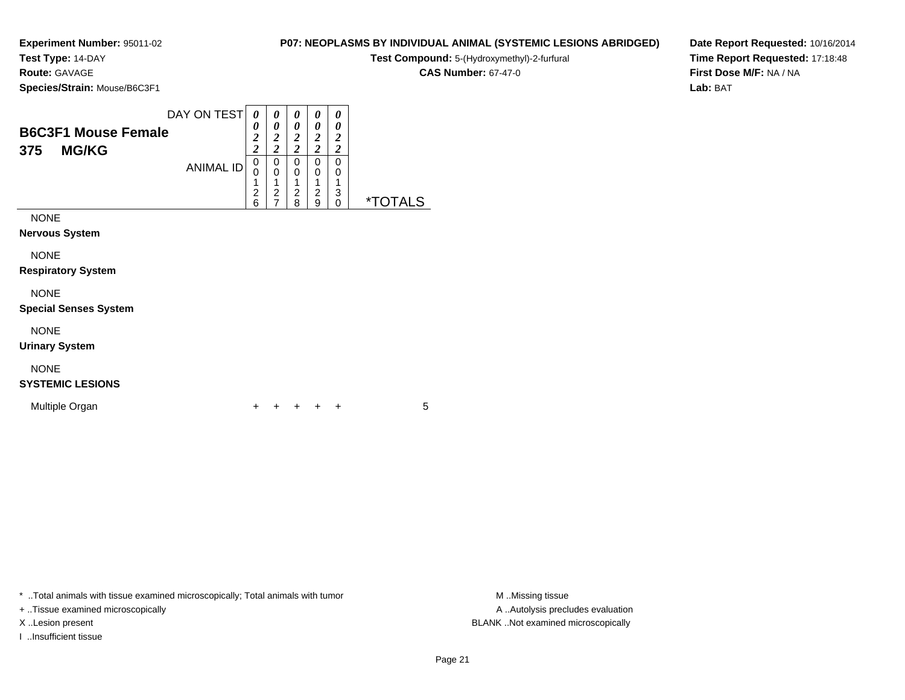**Test Type:** 14-DAY

**Route:** GAVAGE

**Species/Strain:** Mouse/B6C3F1

| P07: NEOPLASMS BY INDIVIDUAL ANIMAL (SYSTEMIC LESIONS ABRIDGED) |  |  |
|-----------------------------------------------------------------|--|--|
|-----------------------------------------------------------------|--|--|

**Test Compound:** 5-(Hydroxymethyl)-2-furfural

**CAS Number:** 67-47-0

**Date Report Requested:** 10/16/2014**Time Report Requested:** 17:18:48**First Dose M/F:** NA / NA**Lab:** BAT

| <b>B6C3F1 Mouse Female</b><br><b>MG/KG</b><br>375 | DAY ON TEST      | 0<br>0<br>$\overline{2}$<br>$\overline{c}$ | 0<br>0<br>$\overline{2}$<br>$\overline{c}$ | 0<br>0<br>2<br>$\overline{c}$ | 0<br>0<br>$\overline{2}$<br>$\overline{2}$ | 0<br>0<br>$\overline{2}$<br>$\overline{2}$ |              |
|---------------------------------------------------|------------------|--------------------------------------------|--------------------------------------------|-------------------------------|--------------------------------------------|--------------------------------------------|--------------|
|                                                   | <b>ANIMAL ID</b> | 0<br>0<br>1<br>$\overline{c}$<br>6         | 0<br>$\mathbf 0$<br>$\overline{c}$         | 0<br>$\Omega$<br>2<br>8       | 0<br>0<br>1<br>2<br>9                      | 0<br>0<br>1<br>3<br>$\mathbf{0}$           | *T∩<br>TAI S |
| <b>NONE</b>                                       |                  |                                            |                                            |                               |                                            |                                            |              |
| <b>Nervous System</b>                             |                  |                                            |                                            |                               |                                            |                                            |              |
| <b>NONE</b>                                       |                  |                                            |                                            |                               |                                            |                                            |              |
| <b>Respiratory System</b>                         |                  |                                            |                                            |                               |                                            |                                            |              |
| <b>NONE</b>                                       |                  |                                            |                                            |                               |                                            |                                            |              |

NONE

**Urinary System**

## NONE

### **SYSTEMIC LESIONS**

**Special Senses System**

Multiple Organn  $+$ 

<sup>+</sup> <sup>+</sup> <sup>+</sup> <sup>+</sup> <sup>5</sup>

\* ..Total animals with tissue examined microscopically; Total animals with tumor **M** . Missing tissue M ..Missing tissue

+ ..Tissue examined microscopically

I ..Insufficient tissue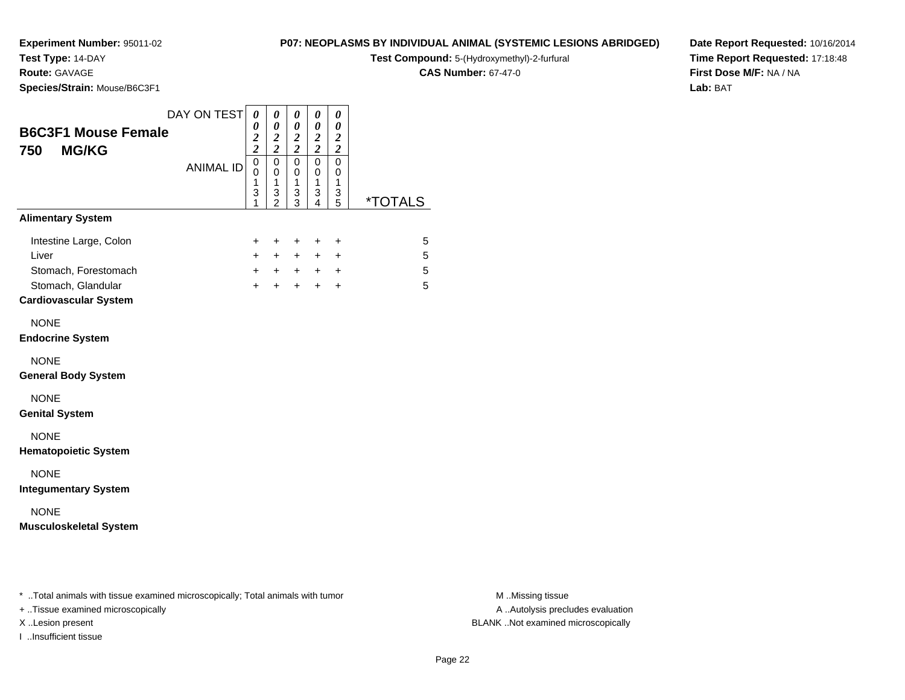## **Test Type:** 14-DAY

**Route:** GAVAGE

**Species/Strain:** Mouse/B6C3F1

#### **P07: NEOPLASMS BY INDIVIDUAL ANIMAL (SYSTEMIC LESIONS ABRIDGED)**

**Test Compound:** 5-(Hydroxymethyl)-2-furfural

**CAS Number:** 67-47-0

**Date Report Requested:** 10/16/2014**Time Report Requested:** 17:18:48**First Dose M/F:** NA / NA**Lab:** BAT

|                                                         | DAY ON TEST      | 0<br>0                               | 0<br>0                                                 | $\boldsymbol{\theta}$<br>$\boldsymbol{\theta}$ | 0<br>0                             | 0<br>$\boldsymbol{\theta}$         |             |
|---------------------------------------------------------|------------------|--------------------------------------|--------------------------------------------------------|------------------------------------------------|------------------------------------|------------------------------------|-------------|
| <b>B6C3F1 Mouse Female</b><br><b>MG/KG</b><br>750       |                  | $\overline{\mathbf{c}}$<br>$\bar{2}$ | $\boldsymbol{2}$<br>$\overline{2}$                     | $\boldsymbol{2}$<br>$\overline{2}$             | $\boldsymbol{2}$<br>$\overline{2}$ | $\boldsymbol{2}$<br>$\overline{2}$ |             |
|                                                         | <b>ANIMAL ID</b> | $\mathbf 0$<br>0<br>1<br>3<br>1      | $\mathbf 0$<br>$\mathbf 0$<br>1<br>3<br>$\mathfrak{p}$ | $\mathbf 0$<br>0<br>1<br>3<br>3                | 0<br>$\mathbf 0$<br>1<br>3<br>4    | $\mathbf 0$<br>0<br>1<br>3<br>5    | *TOTALS     |
| <b>Alimentary System</b>                                |                  |                                      |                                                        |                                                |                                    |                                    |             |
| Intestine Large, Colon<br>Liver<br>Stomach, Forestomach |                  | $\pm$<br>$+$<br>$+$                  | $\ddot{}$<br>$+$<br>$+$                                | $\ddot{}$<br>$+$<br>$+$                        | $\pm$<br>$+$                       | $\ddot{}$<br>$\ddot{}$<br>$+$ $+$  | 5<br>5<br>5 |
| Stomach, Glandular<br><b>Cardiovascular System</b>      |                  | $+$                                  | $\ddot{}$                                              | $+$                                            | $+$                                | $\ddot{}$                          | 5           |
| <b>NONE</b><br><b>Endocrine System</b>                  |                  |                                      |                                                        |                                                |                                    |                                    |             |
| <b>NONE</b><br><b>General Body System</b>               |                  |                                      |                                                        |                                                |                                    |                                    |             |
| <b>NONE</b><br><b>Genital System</b>                    |                  |                                      |                                                        |                                                |                                    |                                    |             |
| <b>NONE</b><br><b>Hematopoietic System</b>              |                  |                                      |                                                        |                                                |                                    |                                    |             |
| <b>NONE</b><br><b>Integumentary System</b>              |                  |                                      |                                                        |                                                |                                    |                                    |             |
| <b>NONE</b><br><b>Musculoskeletal System</b>            |                  |                                      |                                                        |                                                |                                    |                                    |             |
|                                                         |                  |                                      |                                                        |                                                |                                    |                                    |             |
|                                                         |                  |                                      |                                                        |                                                |                                    |                                    |             |

\* ..Total animals with tissue examined microscopically; Total animals with tumor **M** . Missing tissue M ..Missing tissue

+ ..Tissue examined microscopically

I ..Insufficient tissue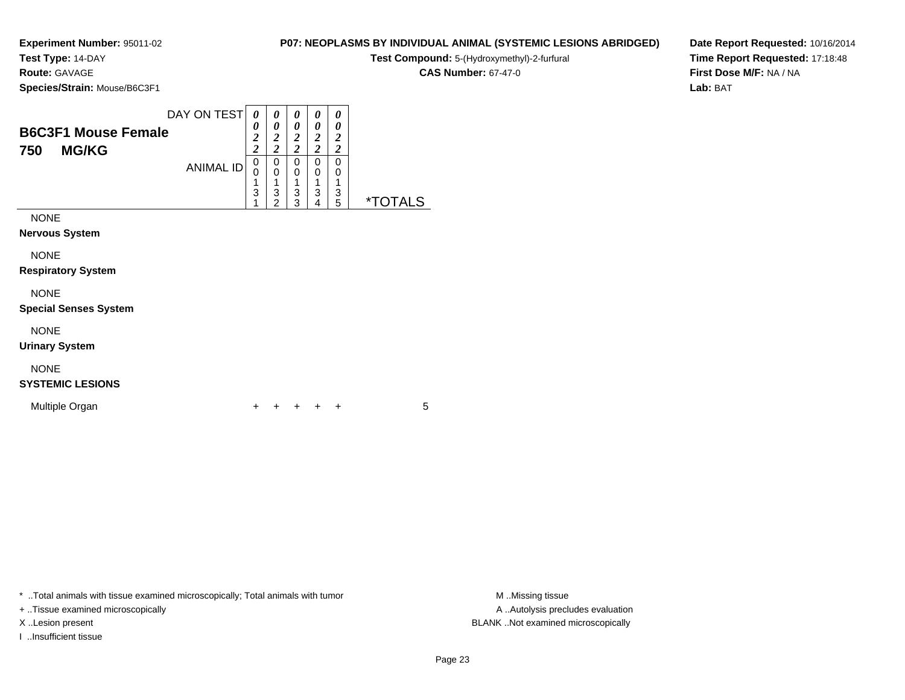**Test Type:** 14-DAY

**Route:** GAVAGE

**Species/Strain:** Mouse/B6C3F1

| P07: NEOPLASMS BY INDIVIDUAL ANIMAL (SYSTEMIC LESIONS ABRIDGED) |  |
|-----------------------------------------------------------------|--|
|-----------------------------------------------------------------|--|

**Test Compound:** 5-(Hydroxymethyl)-2-furfural

**CAS Number:** 67-47-0

**Date Report Requested:** 10/16/2014**Time Report Requested:** 17:18:48**First Dose M/F:** NA / NA**Lab:** BAT

| <b>B6C3F1 Mouse Female</b><br>750<br><b>MG/KG</b> | DAY ON TEST<br><b>ANIMAL ID</b> | 0<br>0<br>$\overline{\mathbf{c}}$<br>$\overline{c}$<br>0<br>$\mathbf 0$<br>1<br>3<br>1 | 0<br>0<br>$\frac{2}{2}$<br>0<br>0<br>1<br>3<br>$\overline{2}$ | 0<br>0<br>$\boldsymbol{2}$<br>$\overline{\mathbf{c}}$<br>0<br>0<br>1<br>3<br>3 | 0<br>0<br>$\overline{\mathbf{c}}$<br>$\overline{c}$<br>0<br>0<br>1<br>3<br>4 | 0<br>0<br>2<br>$\overline{2}$<br>0<br>0<br>3<br>5 | <i><b>*TOTALS</b></i> |
|---------------------------------------------------|---------------------------------|----------------------------------------------------------------------------------------|---------------------------------------------------------------|--------------------------------------------------------------------------------|------------------------------------------------------------------------------|---------------------------------------------------|-----------------------|
| <b>NONE</b><br><b>Nervous System</b>              |                                 |                                                                                        |                                                               |                                                                                |                                                                              |                                                   |                       |
| <b>NONE</b><br><b>Respiratory System</b>          |                                 |                                                                                        |                                                               |                                                                                |                                                                              |                                                   |                       |
| <b>NONE</b><br><b>Special Senses System</b>       |                                 |                                                                                        |                                                               |                                                                                |                                                                              |                                                   |                       |
| <b>NONE</b><br><b>Urinary System</b>              |                                 |                                                                                        |                                                               |                                                                                |                                                                              |                                                   |                       |

## NONE

**SYSTEMIC LESIONS**

Multiple Organn  $+$ 

<sup>+</sup> <sup>+</sup> <sup>+</sup> <sup>+</sup> <sup>5</sup>

\* ..Total animals with tissue examined microscopically; Total animals with tumor **M** . Missing tissue M ..Missing tissue

+ ..Tissue examined microscopically

I ..Insufficient tissue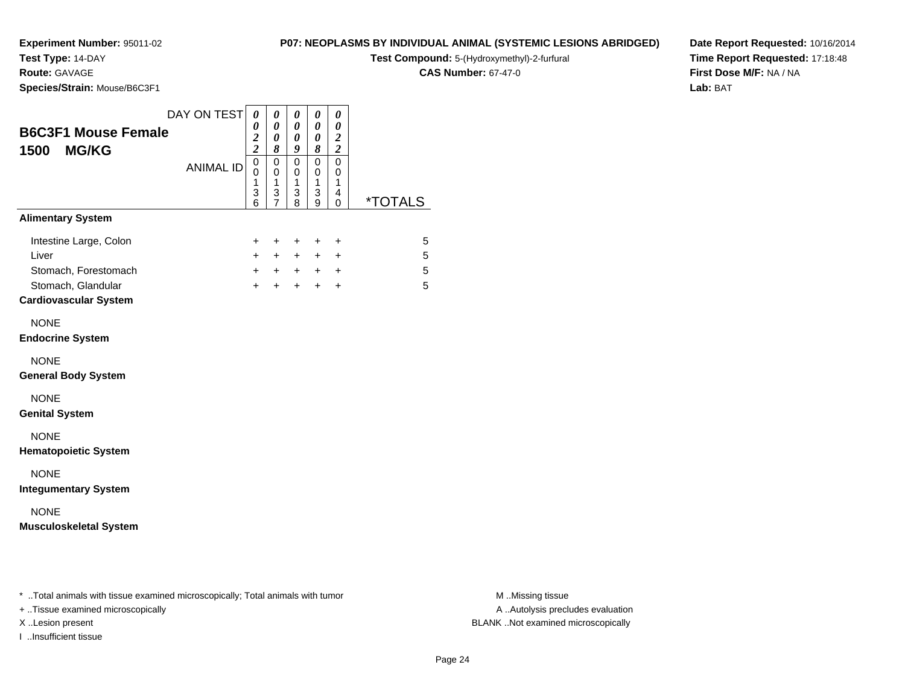**Test Type:** 14-DAY

**Route:** GAVAGE

**Species/Strain:** Mouse/B6C3F1

#### **P07: NEOPLASMS BY INDIVIDUAL ANIMAL (SYSTEMIC LESIONS ABRIDGED)**

**Test Compound:** 5-(Hydroxymethyl)-2-furfural

**CAS Number:** 67-47-0

**Date Report Requested:** 10/16/2014**Time Report Requested:** 17:18:48**First Dose M/F:** NA / NA**Lab:** BAT

| <b>B6C3F1 Mouse Female</b><br><b>MG/KG</b><br>1500                                                            | DAY ON TEST      | 0<br>0<br>$\overline{\mathbf{c}}$<br>$\bar{2}$ | 0<br>0<br>0<br>8                                                | 0<br>0<br>0<br>9                                     | 0<br>0<br>0<br>8                | 0<br>0<br>$\boldsymbol{2}$<br>$\boldsymbol{2}$ |                       |
|---------------------------------------------------------------------------------------------------------------|------------------|------------------------------------------------|-----------------------------------------------------------------|------------------------------------------------------|---------------------------------|------------------------------------------------|-----------------------|
|                                                                                                               | <b>ANIMAL ID</b> | $\overline{0}$<br>$\mathbf 0$<br>1<br>3<br>6   | $\mathbf 0$<br>$\pmb{0}$<br>$\mathbf{1}$<br>3<br>$\overline{7}$ | $\mathbf 0$<br>$\mathbf 0$<br>$\mathbf{1}$<br>3<br>8 | $\mathbf 0$<br>0<br>1<br>3<br>9 | 0<br>0<br>1<br>4<br>0                          | <i><b>*TOTALS</b></i> |
| <b>Alimentary System</b>                                                                                      |                  |                                                |                                                                 |                                                      |                                 |                                                |                       |
| Intestine Large, Colon<br>Liver<br>Stomach, Forestomach<br>Stomach, Glandular<br><b>Cardiovascular System</b> |                  | $\ddot{}$<br>$+$<br>$+$<br>$+$                 | $\ddot{}$<br>$+$<br>$+$<br>$\ddot{}$                            | $\ddot{}$<br>$+$<br>$+$<br>$+$                       | $\ddot{}$<br>$+$<br>$+$<br>$+$  | $\ddot{}$<br>$+$<br>$\pm$<br>$\ddot{}$         | 5<br>5<br>5<br>5      |
| <b>NONE</b><br><b>Endocrine System</b>                                                                        |                  |                                                |                                                                 |                                                      |                                 |                                                |                       |
| <b>NONE</b><br><b>General Body System</b>                                                                     |                  |                                                |                                                                 |                                                      |                                 |                                                |                       |
| <b>NONE</b><br><b>Genital System</b>                                                                          |                  |                                                |                                                                 |                                                      |                                 |                                                |                       |
| <b>NONE</b><br><b>Hematopoietic System</b>                                                                    |                  |                                                |                                                                 |                                                      |                                 |                                                |                       |
| <b>NONE</b><br><b>Integumentary System</b>                                                                    |                  |                                                |                                                                 |                                                      |                                 |                                                |                       |
| <b>NONE</b><br><b>Musculoskeletal System</b>                                                                  |                  |                                                |                                                                 |                                                      |                                 |                                                |                       |
|                                                                                                               |                  |                                                |                                                                 |                                                      |                                 |                                                |                       |
|                                                                                                               |                  |                                                |                                                                 |                                                      |                                 |                                                |                       |

\* ..Total animals with tissue examined microscopically; Total animals with tumor **M** . Missing tissue M ..Missing tissue

+ ..Tissue examined microscopically

I ..Insufficient tissue